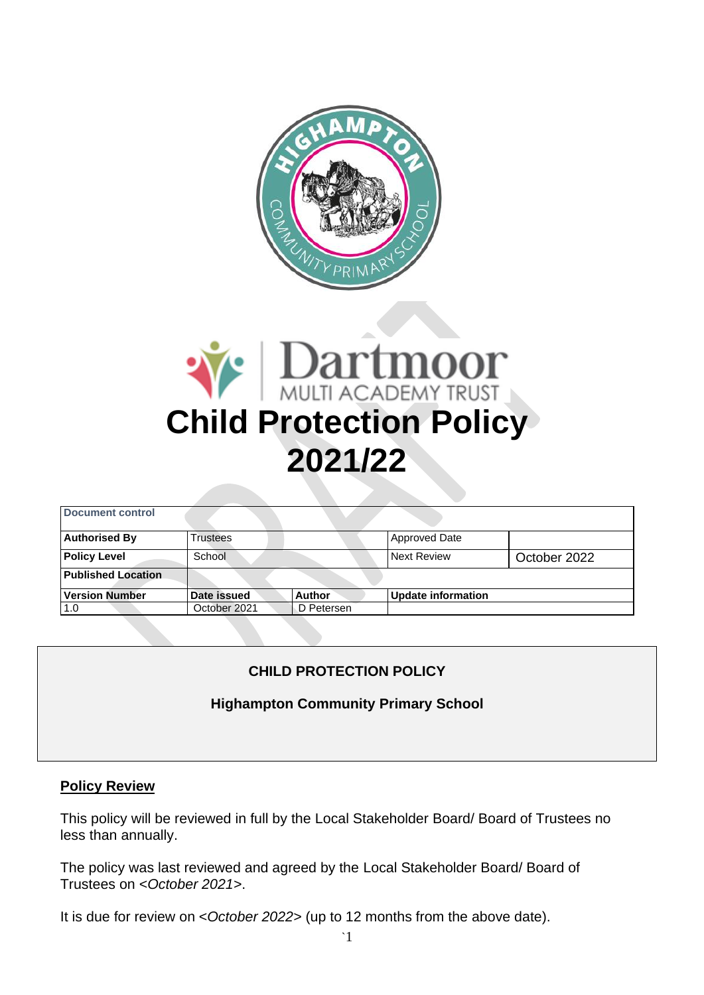



| Document control          |                 |            |                           |              |
|---------------------------|-----------------|------------|---------------------------|--------------|
| <b>Authorised By</b>      | <b>Trustees</b> |            | <b>Approved Date</b>      |              |
| <b>Policy Level</b>       | School          |            | <b>Next Review</b>        | October 2022 |
| <b>Published Location</b> |                 |            |                           |              |
| <b>Version Number</b>     | Date issued     | Author     | <b>Update information</b> |              |
| 1.0                       | October 2021    | D Petersen |                           |              |

# **CHILD PROTECTION POLICY**

## **Highampton Community Primary School**

## **Policy Review**

This policy will be reviewed in full by the Local Stakeholder Board/ Board of Trustees no less than annually.

The policy was last reviewed and agreed by the Local Stakeholder Board/ Board of Trustees on <*October 2021>*.

It is due for review on <*October 2022>* (up to 12 months from the above date).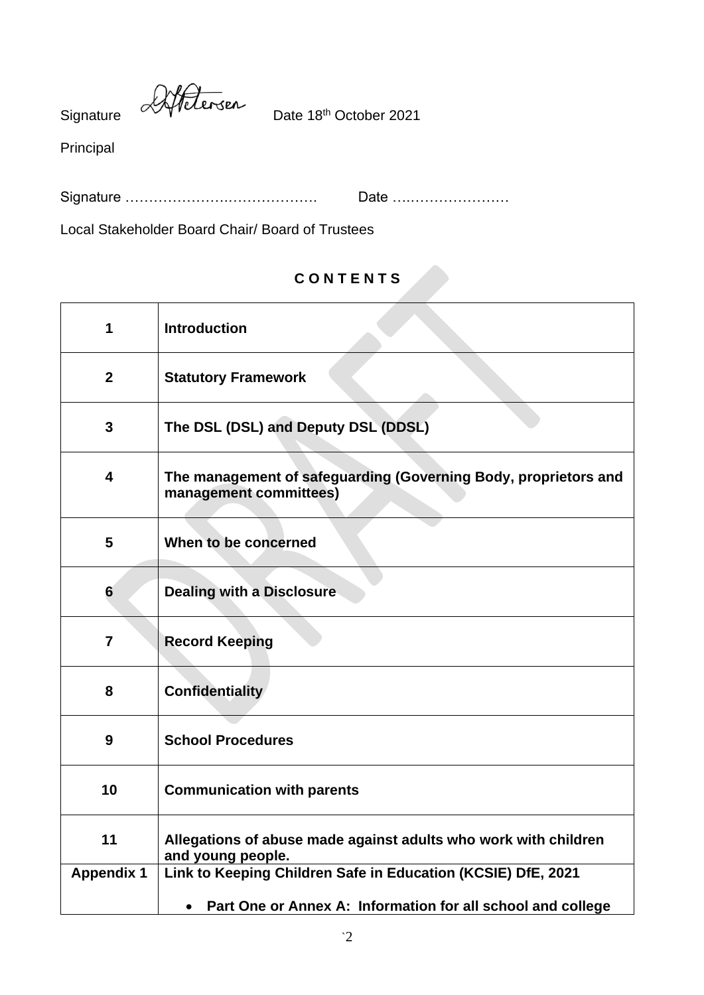Signature Affetersen<br>Date 18<sup>th</sup> October 2021

Principal

Signature ………………….………………. Date ….…………………

Local Stakeholder Board Chair/ Board of Trustees

# **C O N T E N T S**

| 1                 | <b>Introduction</b>                                                                       |
|-------------------|-------------------------------------------------------------------------------------------|
| $\mathbf{2}$      | <b>Statutory Framework</b>                                                                |
| 3                 | The DSL (DSL) and Deputy DSL (DDSL)                                                       |
| 4                 | The management of safeguarding (Governing Body, proprietors and<br>management committees) |
| 5                 | When to be concerned                                                                      |
| 6                 | <b>Dealing with a Disclosure</b>                                                          |
| $\overline{7}$    | <b>Record Keeping</b>                                                                     |
| 8                 | <b>Confidentiality</b>                                                                    |
| 9                 | <b>School Procedures</b>                                                                  |
| 10                | <b>Communication with parents</b>                                                         |
| 11                | Allegations of abuse made against adults who work with children<br>and young people.      |
| <b>Appendix 1</b> | Link to Keeping Children Safe in Education (KCSIE) DfE, 2021                              |
|                   | Part One or Annex A: Information for all school and college<br>$\bullet$                  |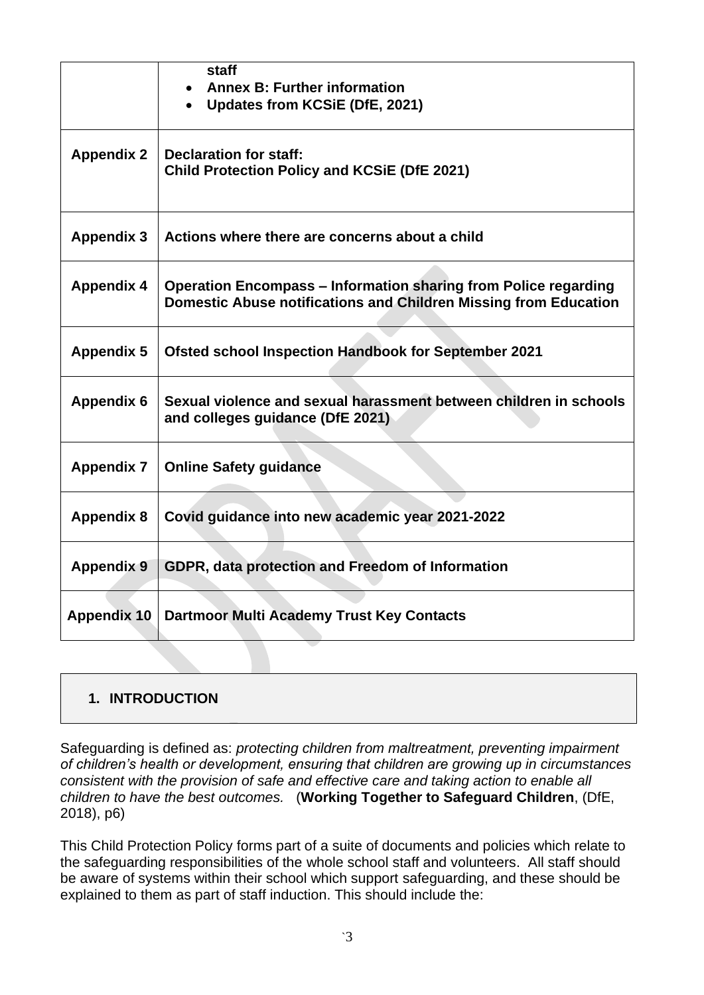|                    | staff<br><b>Annex B: Further information</b><br>Updates from KCSiE (DfE, 2021)                                                             |
|--------------------|--------------------------------------------------------------------------------------------------------------------------------------------|
| <b>Appendix 2</b>  | <b>Declaration for staff:</b><br><b>Child Protection Policy and KCSIE (DfE 2021)</b>                                                       |
| <b>Appendix 3</b>  | Actions where there are concerns about a child                                                                                             |
| <b>Appendix 4</b>  | <b>Operation Encompass – Information sharing from Police regarding</b><br>Domestic Abuse notifications and Children Missing from Education |
| <b>Appendix 5</b>  | <b>Ofsted school Inspection Handbook for September 2021</b>                                                                                |
| <b>Appendix 6</b>  | Sexual violence and sexual harassment between children in schools<br>and colleges guidance (DfE 2021)                                      |
| <b>Appendix 7</b>  | <b>Online Safety guidance</b>                                                                                                              |
| <b>Appendix 8</b>  | Covid guidance into new academic year 2021-2022                                                                                            |
| <b>Appendix 9</b>  | GDPR, data protection and Freedom of Information                                                                                           |
| <b>Appendix 10</b> | <b>Dartmoor Multi Academy Trust Key Contacts</b>                                                                                           |

## **1. INTRODUCTION**

Safeguarding is defined as: *protecting children from maltreatment, preventing impairment of children's health or development, ensuring that children are growing up in circumstances consistent with the provision of safe and effective care and taking action to enable all children to have the best outcomes.* (**Working Together to Safeguard Children**, (DfE, 2018), p6)

This Child Protection Policy forms part of a suite of documents and policies which relate to the safeguarding responsibilities of the whole school staff and volunteers. All staff should be aware of systems within their school which support safeguarding, and these should be explained to them as part of staff induction. This should include the: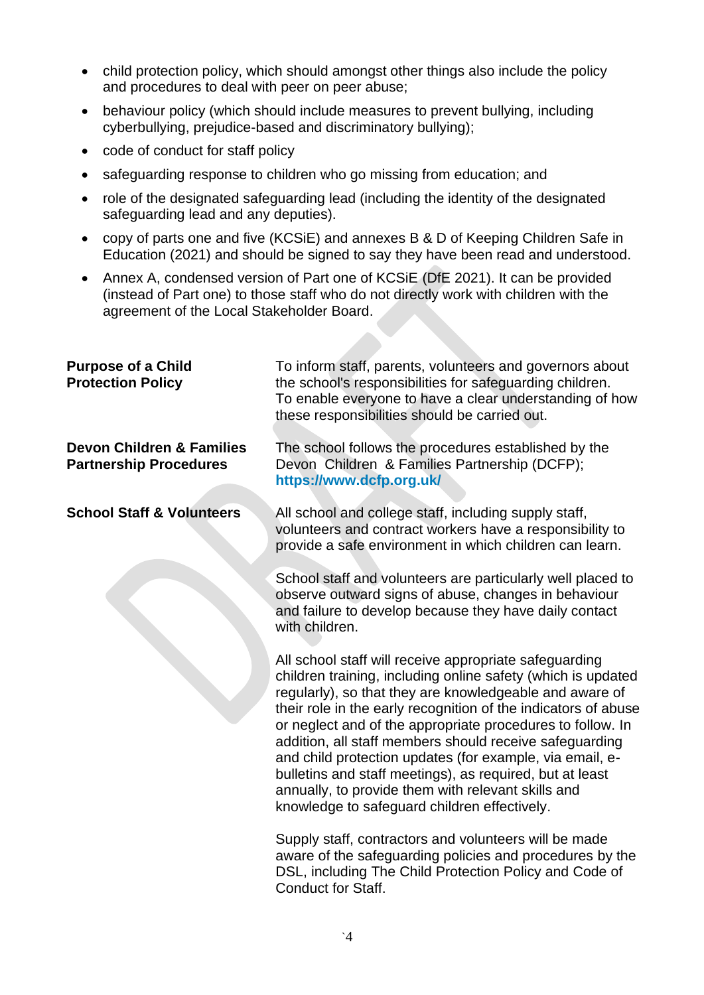- child protection policy, which should amongst other things also include the policy and procedures to deal with peer on peer abuse;
- behaviour policy (which should include measures to prevent bullying, including cyberbullying, prejudice-based and discriminatory bullying);
- code of conduct for staff policy
- safeguarding response to children who go missing from education; and
- role of the designated safeguarding lead (including the identity of the designated safeguarding lead and any deputies).
- copy of parts one and five (KCSiE) and annexes B & D of Keeping Children Safe in Education (2021) and should be signed to say they have been read and understood.
- Annex A, condensed version of Part one of KCSiE (DfE 2021). It can be provided (instead of Part one) to those staff who do not directly work with children with the agreement of the Local Stakeholder Board.

| <b>Purpose of a Child</b><br><b>Protection Policy</b>                 | To inform staff, parents, volunteers and governors about<br>the school's responsibilities for safeguarding children.<br>To enable everyone to have a clear understanding of how<br>these responsibilities should be carried out.                                                                                                                                                                                                                                                                                                                                                                           |
|-----------------------------------------------------------------------|------------------------------------------------------------------------------------------------------------------------------------------------------------------------------------------------------------------------------------------------------------------------------------------------------------------------------------------------------------------------------------------------------------------------------------------------------------------------------------------------------------------------------------------------------------------------------------------------------------|
| <b>Devon Children &amp; Families</b><br><b>Partnership Procedures</b> | The school follows the procedures established by the<br>Devon Children & Families Partnership (DCFP);<br>https://www.dcfp.org.uk/                                                                                                                                                                                                                                                                                                                                                                                                                                                                          |
| <b>School Staff &amp; Volunteers</b>                                  | All school and college staff, including supply staff,<br>volunteers and contract workers have a responsibility to<br>provide a safe environment in which children can learn.                                                                                                                                                                                                                                                                                                                                                                                                                               |
|                                                                       | School staff and volunteers are particularly well placed to<br>observe outward signs of abuse, changes in behaviour<br>and failure to develop because they have daily contact<br>with children.                                                                                                                                                                                                                                                                                                                                                                                                            |
|                                                                       | All school staff will receive appropriate safeguarding<br>children training, including online safety (which is updated<br>regularly), so that they are knowledgeable and aware of<br>their role in the early recognition of the indicators of abuse<br>or neglect and of the appropriate procedures to follow. In<br>addition, all staff members should receive safeguarding<br>and child protection updates (for example, via email, e-<br>bulletins and staff meetings), as required, but at least<br>annually, to provide them with relevant skills and<br>knowledge to safeguard children effectively. |
|                                                                       | Supply staff, contractors and volunteers will be made<br>aware of the safeguarding policies and procedures by the<br>DSL, including The Child Protection Policy and Code of<br>Conduct for Staff                                                                                                                                                                                                                                                                                                                                                                                                           |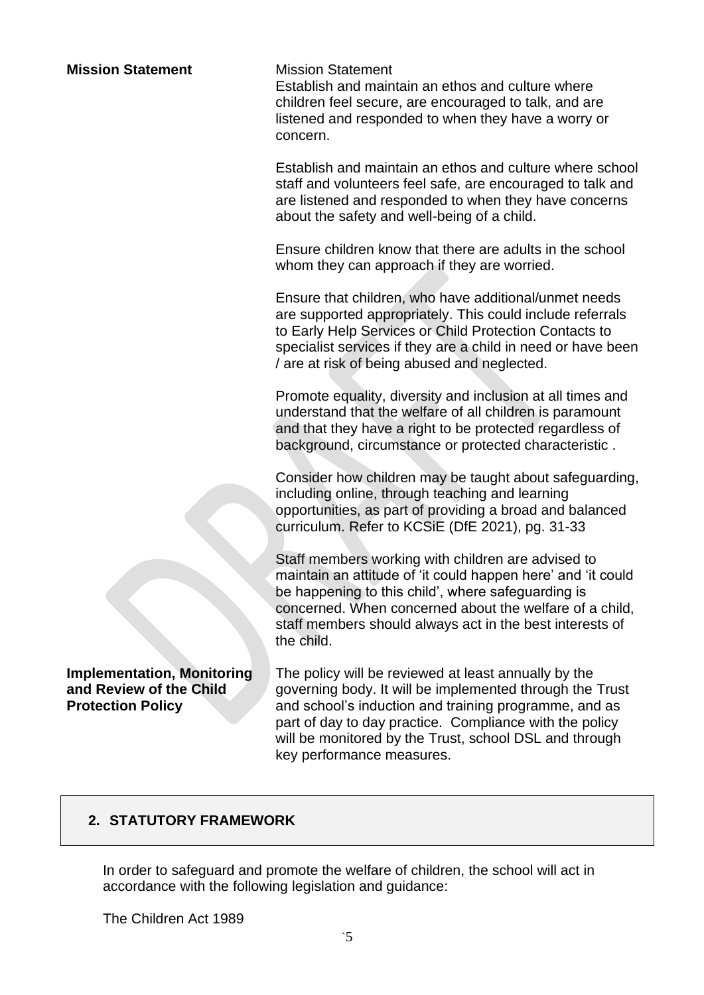#### **Mission Statement** Mission Statement

Establish and maintain an ethos and culture where children feel secure, are encouraged to talk, and are listened and responded to when they have a worry or concern.

Establish and maintain an ethos and culture where school staff and volunteers feel safe, are encouraged to talk and are listened and responded to when they have concerns about the safety and well-being of a child.

Ensure children know that there are adults in the school whom they can approach if they are worried.

Ensure that children, who have additional/unmet needs are supported appropriately. This could include referrals to Early Help Services or Child Protection Contacts to specialist services if they are a child in need or have been / are at risk of being abused and neglected.

Promote equality, diversity and inclusion at all times and understand that the welfare of all children is paramount and that they have a right to be protected regardless of background, circumstance or protected characteristic .

Consider how children may be taught about safeguarding, including online, through teaching and learning opportunities, as part of providing a broad and balanced curriculum. Refer to KCSiE (DfE 2021), pg. 31-33

Staff members working with children are advised to maintain an attitude of 'it could happen here' and 'it could be happening to this child', where safeguarding is concerned. When concerned about the welfare of a child, staff members should always act in the best interests of the child.

The policy will be reviewed at least annually by the governing body. It will be implemented through the Trust and school's induction and training programme, and as part of day to day practice. Compliance with the policy will be monitored by the Trust, school DSL and through key performance measures.

## **2. STATUTORY FRAMEWORK**

**Implementation, Monitoring and Review of the Child** 

**Protection Policy**

In order to safeguard and promote the welfare of children, the school will act in accordance with the following legislation and guidance:

The Children Act 1989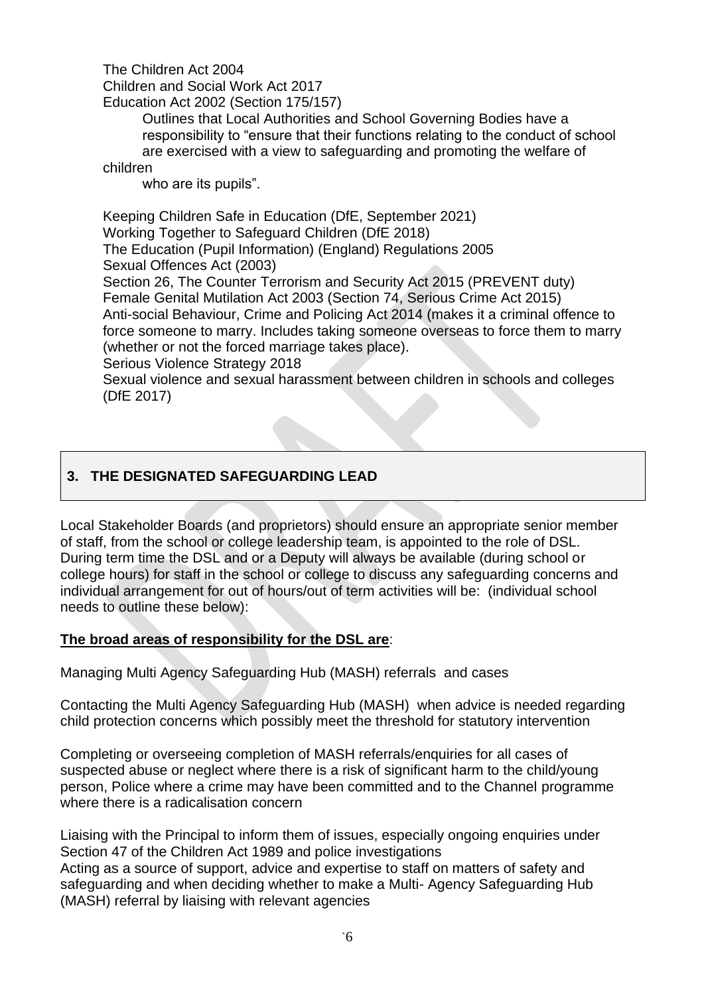### The Children Act 2004

Children and Social Work Act 2017 Education Act 2002 (Section 175/157)

> Outlines that Local Authorities and School Governing Bodies have a responsibility to "ensure that their functions relating to the conduct of school are exercised with a view to safeguarding and promoting the welfare of

#### children

who are its pupils".

Keeping Children Safe in Education (DfE, September 2021) Working Together to Safeguard Children (DfE 2018) The Education (Pupil Information) (England) Regulations 2005 Sexual Offences Act (2003) Section 26, The Counter Terrorism and Security Act 2015 (PREVENT duty) Female Genital Mutilation Act 2003 (Section 74, Serious Crime Act 2015) Anti-social Behaviour, Crime and Policing Act 2014 (makes it a criminal offence to force someone to marry. Includes taking someone overseas to force them to marry (whether or not the forced marriage takes place). Serious Violence Strategy 2018

Sexual violence and sexual harassment between children in schools and colleges (DfE 2017)

## **3. THE DESIGNATED SAFEGUARDING LEAD**

Local Stakeholder Boards (and proprietors) should ensure an appropriate senior member of staff, from the school or college leadership team, is appointed to the role of DSL. During term time the DSL and or a Deputy will always be available (during school or college hours) for staff in the school or college to discuss any safeguarding concerns and individual arrangement for out of hours/out of term activities will be: (individual school needs to outline these below):

## **The broad areas of responsibility for the DSL are**:

Managing Multi Agency Safeguarding Hub (MASH) referrals and cases

Contacting the Multi Agency Safeguarding Hub (MASH) when advice is needed regarding child protection concerns which possibly meet the threshold for statutory intervention

Completing or overseeing completion of MASH referrals/enquiries for all cases of suspected abuse or neglect where there is a risk of significant harm to the child/young person, Police where a crime may have been committed and to the Channel programme where there is a radicalisation concern

Liaising with the Principal to inform them of issues, especially ongoing enquiries under Section 47 of the Children Act 1989 and police investigations Acting as a source of support, advice and expertise to staff on matters of safety and safeguarding and when deciding whether to make a Multi- Agency Safeguarding Hub (MASH) referral by liaising with relevant agencies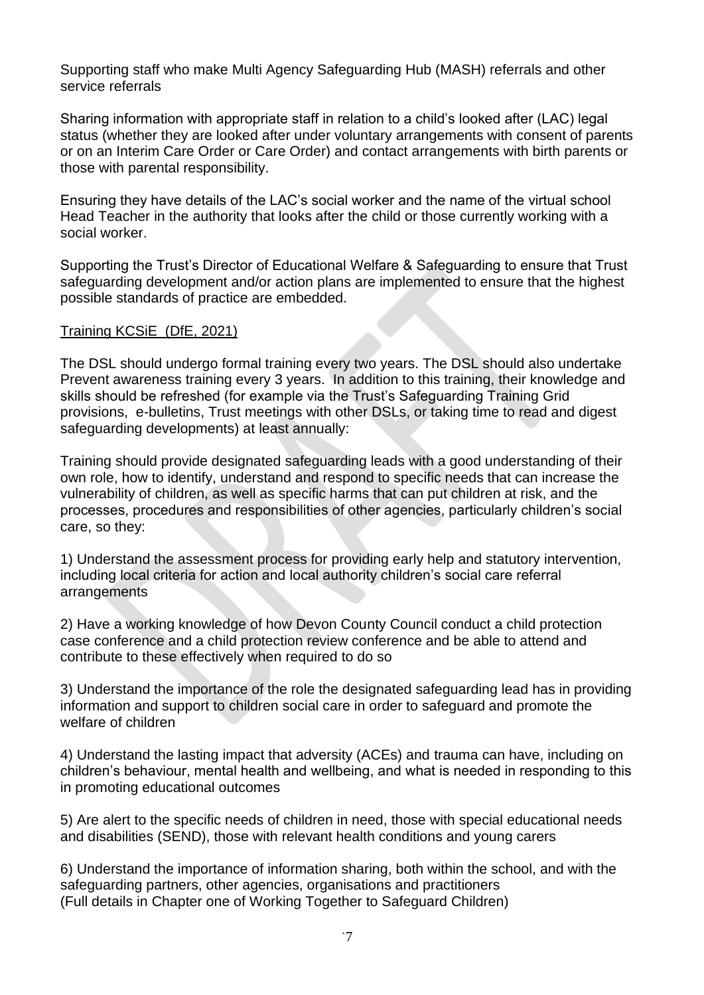Supporting staff who make Multi Agency Safeguarding Hub (MASH) referrals and other service referrals

Sharing information with appropriate staff in relation to a child's looked after (LAC) legal status (whether they are looked after under voluntary arrangements with consent of parents or on an Interim Care Order or Care Order) and contact arrangements with birth parents or those with parental responsibility.

Ensuring they have details of the LAC's social worker and the name of the virtual school Head Teacher in the authority that looks after the child or those currently working with a social worker.

Supporting the Trust's Director of Educational Welfare & Safeguarding to ensure that Trust safeguarding development and/or action plans are implemented to ensure that the highest possible standards of practice are embedded.

### Training KCSiE (DfE, 2021)

The DSL should undergo formal training every two years. The DSL should also undertake Prevent awareness training every 3 years. In addition to this training, their knowledge and skills should be refreshed (for example via the Trust's Safeguarding Training Grid provisions, e-bulletins, Trust meetings with other DSLs, or taking time to read and digest safeguarding developments) at least annually:

Training should provide designated safeguarding leads with a good understanding of their own role, how to identify, understand and respond to specific needs that can increase the vulnerability of children, as well as specific harms that can put children at risk, and the processes, procedures and responsibilities of other agencies, particularly children's social care, so they:

1) Understand the assessment process for providing early help and statutory intervention, including local criteria for action and local authority children's social care referral arrangements

2) Have a working knowledge of how Devon County Council conduct a child protection case conference and a child protection review conference and be able to attend and contribute to these effectively when required to do so

3) Understand the importance of the role the designated safeguarding lead has in providing information and support to children social care in order to safeguard and promote the welfare of children

4) Understand the lasting impact that adversity (ACEs) and trauma can have, including on children's behaviour, mental health and wellbeing, and what is needed in responding to this in promoting educational outcomes

5) Are alert to the specific needs of children in need, those with special educational needs and disabilities (SEND), those with relevant health conditions and young carers

6) Understand the importance of information sharing, both within the school, and with the safeguarding partners, other agencies, organisations and practitioners (Full details in Chapter one of Working Together to Safeguard Children)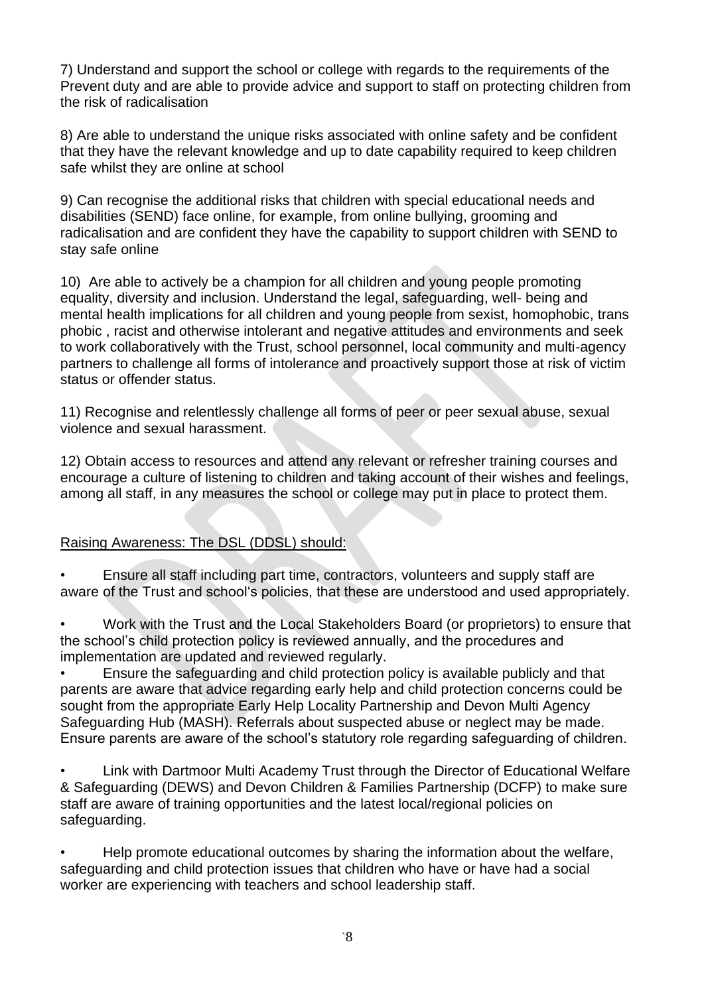7) Understand and support the school or college with regards to the requirements of the Prevent duty and are able to provide advice and support to staff on protecting children from the risk of radicalisation

8) Are able to understand the unique risks associated with online safety and be confident that they have the relevant knowledge and up to date capability required to keep children safe whilst they are online at school

9) Can recognise the additional risks that children with special educational needs and disabilities (SEND) face online, for example, from online bullying, grooming and radicalisation and are confident they have the capability to support children with SEND to stay safe online

10) Are able to actively be a champion for all children and young people promoting equality, diversity and inclusion. Understand the legal, safeguarding, well- being and mental health implications for all children and young people from sexist, homophobic, trans phobic , racist and otherwise intolerant and negative attitudes and environments and seek to work collaboratively with the Trust, school personnel, local community and multi-agency partners to challenge all forms of intolerance and proactively support those at risk of victim status or offender status.

11) Recognise and relentlessly challenge all forms of peer or peer sexual abuse, sexual violence and sexual harassment.

12) Obtain access to resources and attend any relevant or refresher training courses and encourage a culture of listening to children and taking account of their wishes and feelings, among all staff, in any measures the school or college may put in place to protect them.

## Raising Awareness: The DSL (DDSL) should:

• Ensure all staff including part time, contractors, volunteers and supply staff are aware of the Trust and school's policies, that these are understood and used appropriately.

• Work with the Trust and the Local Stakeholders Board (or proprietors) to ensure that the school's child protection policy is reviewed annually, and the procedures and implementation are updated and reviewed regularly.

• Ensure the safeguarding and child protection policy is available publicly and that parents are aware that advice regarding early help and child protection concerns could be sought from the appropriate Early Help Locality Partnership and Devon Multi Agency Safeguarding Hub (MASH). Referrals about suspected abuse or neglect may be made. Ensure parents are aware of the school's statutory role regarding safeguarding of children.

• Link with Dartmoor Multi Academy Trust through the Director of Educational Welfare & Safeguarding (DEWS) and Devon Children & Families Partnership (DCFP) to make sure staff are aware of training opportunities and the latest local/regional policies on safeguarding.

• Help promote educational outcomes by sharing the information about the welfare, safeguarding and child protection issues that children who have or have had a social worker are experiencing with teachers and school leadership staff.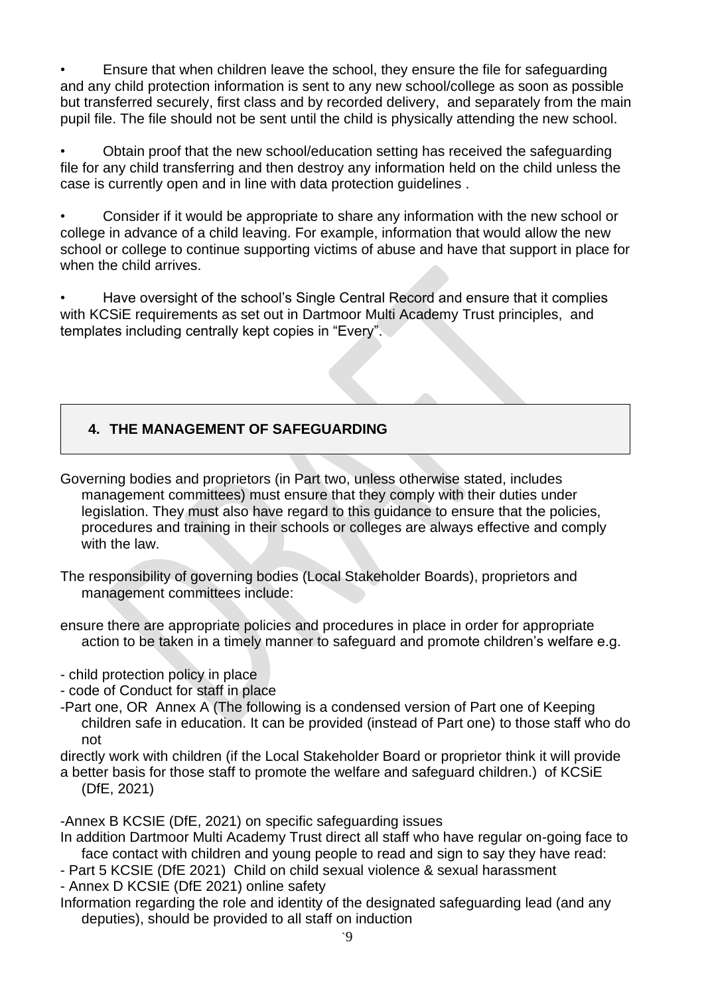• Ensure that when children leave the school, they ensure the file for safeguarding and any child protection information is sent to any new school/college as soon as possible but transferred securely, first class and by recorded delivery, and separately from the main pupil file. The file should not be sent until the child is physically attending the new school.

• Obtain proof that the new school/education setting has received the safeguarding file for any child transferring and then destroy any information held on the child unless the case is currently open and in line with data protection guidelines .

• Consider if it would be appropriate to share any information with the new school or college in advance of a child leaving. For example, information that would allow the new school or college to continue supporting victims of abuse and have that support in place for when the child arrives.

• Have oversight of the school's Single Central Record and ensure that it complies with KCSiE requirements as set out in Dartmoor Multi Academy Trust principles, and templates including centrally kept copies in "Every".

## **4. THE MANAGEMENT OF SAFEGUARDING**

Governing bodies and proprietors (in Part two, unless otherwise stated, includes management committees) must ensure that they comply with their duties under legislation. They must also have regard to this guidance to ensure that the policies, procedures and training in their schools or colleges are always effective and comply with the law.

The responsibility of governing bodies (Local Stakeholder Boards), proprietors and management committees include:

ensure there are appropriate policies and procedures in place in order for appropriate action to be taken in a timely manner to safeguard and promote children's welfare e.g.

- child protection policy in place

- code of Conduct for staff in place

-Part one, OR Annex A (The following is a condensed version of Part one of Keeping children safe in education. It can be provided (instead of Part one) to those staff who do not

directly work with children (if the Local Stakeholder Board or proprietor think it will provide a better basis for those staff to promote the welfare and safeguard children.) of KCSiE (DfE, 2021)

-Annex B KCSIE (DfE, 2021) on specific safeguarding issues

In addition Dartmoor Multi Academy Trust direct all staff who have regular on-going face to face contact with children and young people to read and sign to say they have read:

- Part 5 KCSIE (DfE 2021) Child on child sexual violence & sexual harassment

- Annex D KCSIE (DfE 2021) online safety

Information regarding the role and identity of the designated safeguarding lead (and any deputies), should be provided to all staff on induction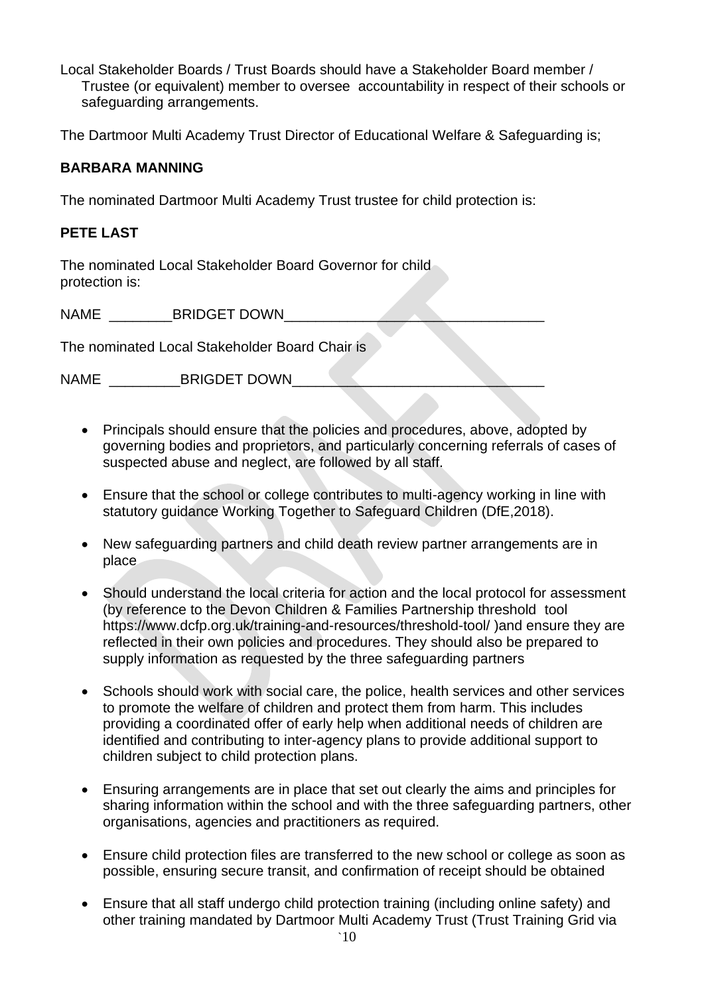Local Stakeholder Boards / Trust Boards should have a Stakeholder Board member / Trustee (or equivalent) member to oversee accountability in respect of their schools or safeguarding arrangements.

The Dartmoor Multi Academy Trust Director of Educational Welfare & Safeguarding is;

### **BARBARA MANNING**

The nominated Dartmoor Multi Academy Trust trustee for child protection is:

### **PETE LAST**

The nominated Local Stakeholder Board Governor for child protection is:

NAME BRIDGET DOWN

The nominated Local Stakeholder Board Chair is

NAME BRIGDET DOWN

- Principals should ensure that the policies and procedures, above, adopted by governing bodies and proprietors, and particularly concerning referrals of cases of suspected abuse and neglect, are followed by all staff.
- Ensure that the school or college contributes to multi-agency working in line with statutory guidance Working Together to Safeguard Children (DfE,2018).
- New safeguarding partners and child death review partner arrangements are in place
- Should understand the local criteria for action and the local protocol for assessment (by reference to the Devon Children & Families Partnership threshold tool https://www.dcfp.org.uk/training-and-resources/threshold-tool/ )and ensure they are reflected in their own policies and procedures. They should also be prepared to supply information as requested by the three safeguarding partners
- Schools should work with social care, the police, health services and other services to promote the welfare of children and protect them from harm. This includes providing a coordinated offer of early help when additional needs of children are identified and contributing to inter-agency plans to provide additional support to children subject to child protection plans.
- Ensuring arrangements are in place that set out clearly the aims and principles for sharing information within the school and with the three safeguarding partners, other organisations, agencies and practitioners as required.
- Ensure child protection files are transferred to the new school or college as soon as possible, ensuring secure transit, and confirmation of receipt should be obtained
- Ensure that all staff undergo child protection training (including online safety) and other training mandated by Dartmoor Multi Academy Trust (Trust Training Grid via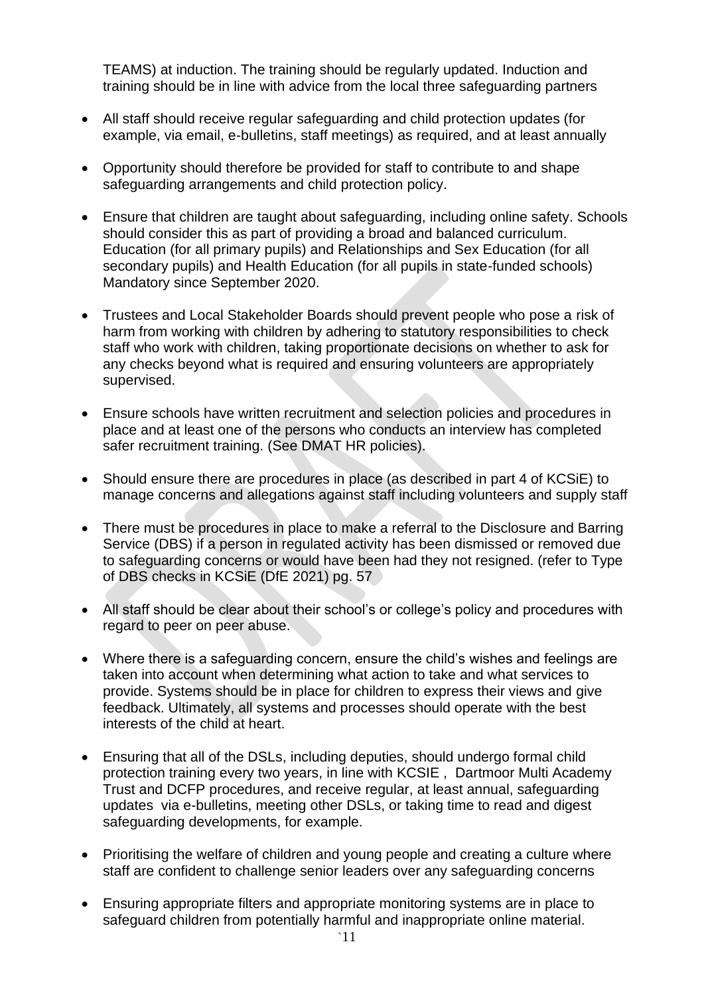TEAMS) at induction. The training should be regularly updated. Induction and training should be in line with advice from the local three safeguarding partners

- All staff should receive regular safeguarding and child protection updates (for example, via email, e-bulletins, staff meetings) as required, and at least annually
- Opportunity should therefore be provided for staff to contribute to and shape safeguarding arrangements and child protection policy.
- Ensure that children are taught about safeguarding, including online safety. Schools should consider this as part of providing a broad and balanced curriculum. Education (for all primary pupils) and Relationships and Sex Education (for all secondary pupils) and Health Education (for all pupils in state-funded schools) Mandatory since September 2020.
- Trustees and Local Stakeholder Boards should prevent people who pose a risk of harm from working with children by adhering to statutory responsibilities to check staff who work with children, taking proportionate decisions on whether to ask for any checks beyond what is required and ensuring volunteers are appropriately supervised.
- Ensure schools have written recruitment and selection policies and procedures in place and at least one of the persons who conducts an interview has completed safer recruitment training. (See DMAT HR policies).
- Should ensure there are procedures in place (as described in part 4 of KCSiE) to manage concerns and allegations against staff including volunteers and supply staff
- There must be procedures in place to make a referral to the Disclosure and Barring Service (DBS) if a person in regulated activity has been dismissed or removed due to safeguarding concerns or would have been had they not resigned. (refer to Type of DBS checks in KCSiE (DfE 2021) pg. 57
- All staff should be clear about their school's or college's policy and procedures with regard to peer on peer abuse.
- Where there is a safeguarding concern, ensure the child's wishes and feelings are taken into account when determining what action to take and what services to provide. Systems should be in place for children to express their views and give feedback. Ultimately, all systems and processes should operate with the best interests of the child at heart.
- Ensuring that all of the DSLs, including deputies, should undergo formal child protection training every two years, in line with KCSIE , Dartmoor Multi Academy Trust and DCFP procedures, and receive regular, at least annual, safeguarding updates via e-bulletins, meeting other DSLs, or taking time to read and digest safeguarding developments, for example.
- Prioritising the welfare of children and young people and creating a culture where staff are confident to challenge senior leaders over any safeguarding concerns
- Ensuring appropriate filters and appropriate monitoring systems are in place to safeguard children from potentially harmful and inappropriate online material.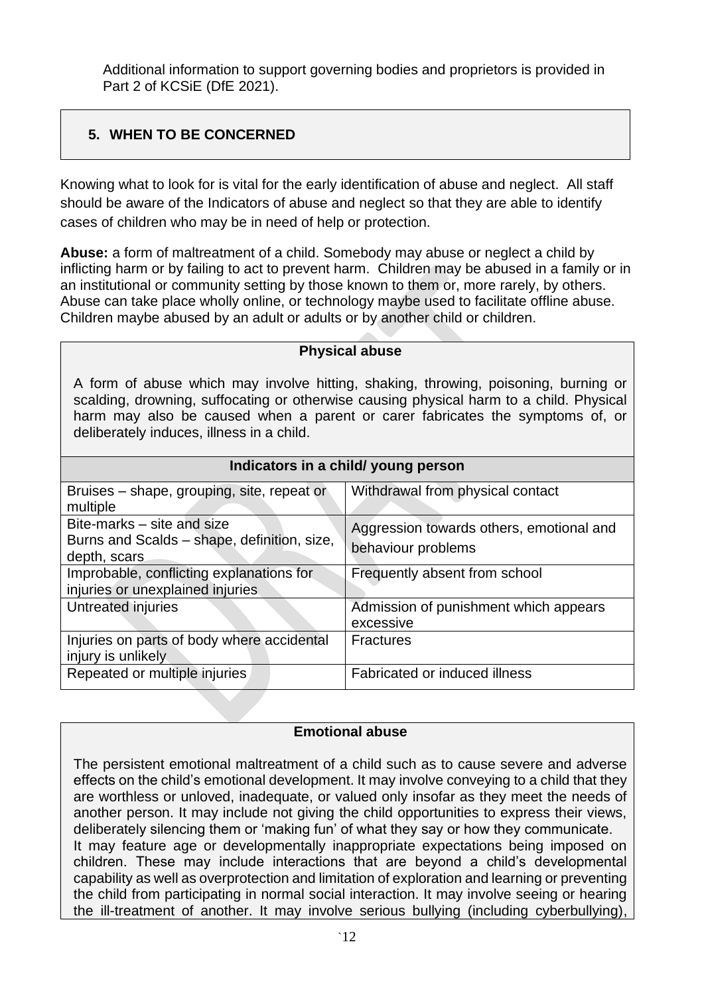Additional information to support governing bodies and proprietors is provided in Part 2 of KCSiE (DfE 2021).

# **5. WHEN TO BE CONCERNED**

Knowing what to look for is vital for the early identification of abuse and neglect. All staff should be aware of the Indicators of abuse and neglect so that they are able to identify cases of children who may be in need of help or protection.

**Abuse:** a form of maltreatment of a child. Somebody may abuse or neglect a child by inflicting harm or by failing to act to prevent harm. Children may be abused in a family or in an institutional or community setting by those known to them or, more rarely, by others. Abuse can take place wholly online, or technology maybe used to facilitate offline abuse. Children maybe abused by an adult or adults or by another child or children.

| <b>Physical abuse</b>                                                                                                                                                                                                                                                                                        |                                                    |  |
|--------------------------------------------------------------------------------------------------------------------------------------------------------------------------------------------------------------------------------------------------------------------------------------------------------------|----------------------------------------------------|--|
| A form of abuse which may involve hitting, shaking, throwing, poisoning, burning or<br>scalding, drowning, suffocating or otherwise causing physical harm to a child. Physical<br>harm may also be caused when a parent or carer fabricates the symptoms of, or<br>deliberately induces, illness in a child. |                                                    |  |
| Indicators in a child/ young person                                                                                                                                                                                                                                                                          |                                                    |  |
| Bruises – shape, grouping, site, repeat or<br>multiple                                                                                                                                                                                                                                                       | Withdrawal from physical contact                   |  |
| Bite-marks – site and size                                                                                                                                                                                                                                                                                   | Aggression towards others, emotional and           |  |
| Burns and Scalds - shape, definition, size,<br>depth, scars                                                                                                                                                                                                                                                  | behaviour problems                                 |  |
| Improbable, conflicting explanations for<br>injuries or unexplained injuries                                                                                                                                                                                                                                 | Frequently absent from school                      |  |
| Untreated injuries                                                                                                                                                                                                                                                                                           | Admission of punishment which appears<br>excessive |  |
| Injuries on parts of body where accidental<br>injury is unlikely                                                                                                                                                                                                                                             | <b>Fractures</b>                                   |  |
| Repeated or multiple injuries                                                                                                                                                                                                                                                                                | Fabricated or induced illness                      |  |

## **Emotional abuse**

The persistent emotional maltreatment of a child such as to cause severe and adverse effects on the child's emotional development. It may involve conveying to a child that they are worthless or unloved, inadequate, or valued only insofar as they meet the needs of another person. It may include not giving the child opportunities to express their views, deliberately silencing them or 'making fun' of what they say or how they communicate. It may feature age or developmentally inappropriate expectations being imposed on children. These may include interactions that are beyond a child's developmental capability as well as overprotection and limitation of exploration and learning or preventing the child from participating in normal social interaction. It may involve seeing or hearing the ill-treatment of another. It may involve serious bullying (including cyberbullying),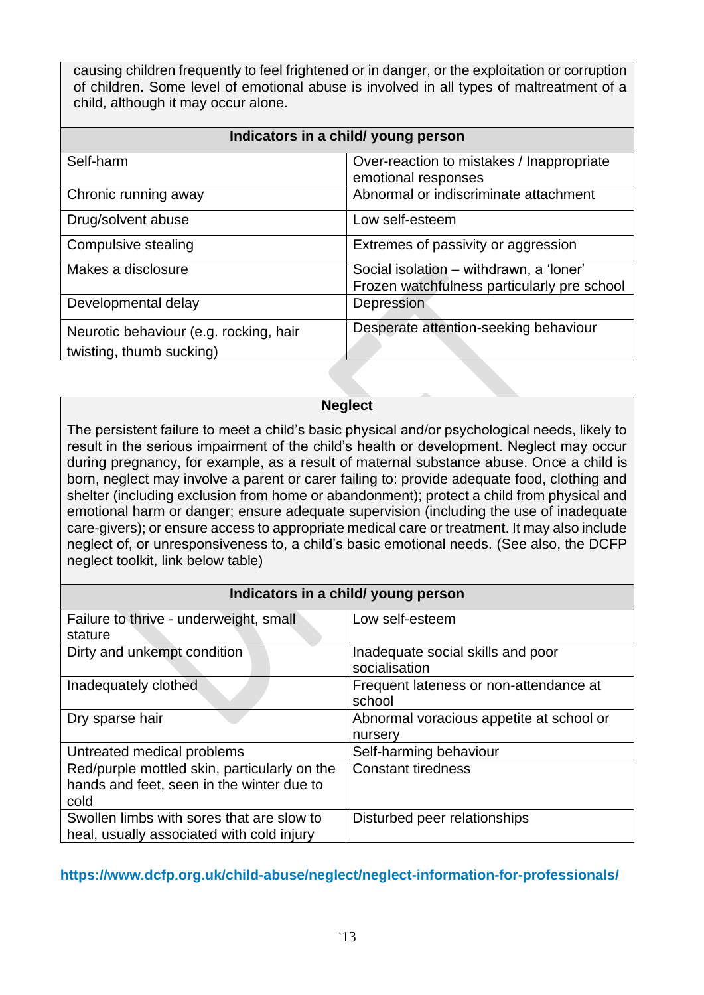causing children frequently to feel frightened or in danger, or the exploitation or corruption of children. Some level of emotional abuse is involved in all types of maltreatment of a child, although it may occur alone.

| Indicators in a child/ young person                                |                                                                                        |  |
|--------------------------------------------------------------------|----------------------------------------------------------------------------------------|--|
| Self-harm                                                          | Over-reaction to mistakes / Inappropriate<br>emotional responses                       |  |
| Chronic running away                                               | Abnormal or indiscriminate attachment                                                  |  |
| Drug/solvent abuse                                                 | Low self-esteem                                                                        |  |
| Compulsive stealing                                                | Extremes of passivity or aggression                                                    |  |
| Makes a disclosure                                                 | Social isolation - withdrawn, a 'loner'<br>Frozen watchfulness particularly pre school |  |
| Developmental delay                                                | Depression                                                                             |  |
| Neurotic behaviour (e.g. rocking, hair<br>twisting, thumb sucking) | Desperate attention-seeking behaviour                                                  |  |

#### **Neglect**

The persistent failure to meet a child's basic physical and/or psychological needs, likely to result in the serious impairment of the child's health or development. Neglect may occur during pregnancy, for example, as a result of maternal substance abuse. Once a child is born, neglect may involve a parent or carer failing to: provide adequate food, clothing and shelter (including exclusion from home or abandonment); protect a child from physical and emotional harm or danger; ensure adequate supervision (including the use of inadequate care-givers); or ensure access to appropriate medical care or treatment. It may also include neglect of, or unresponsiveness to, a child's basic emotional needs. (See also, the DCFP neglect toolkit, link below table)

| Indicators in a child/ young person          |                                          |  |
|----------------------------------------------|------------------------------------------|--|
| Failure to thrive - underweight, small       | Low self-esteem                          |  |
| stature                                      |                                          |  |
| Dirty and unkempt condition                  | Inadequate social skills and poor        |  |
|                                              | socialisation                            |  |
| Inadequately clothed                         | Frequent lateness or non-attendance at   |  |
|                                              | school                                   |  |
| Dry sparse hair                              | Abnormal voracious appetite at school or |  |
|                                              | nursery                                  |  |
| Untreated medical problems                   | Self-harming behaviour                   |  |
| Red/purple mottled skin, particularly on the | <b>Constant tiredness</b>                |  |
| hands and feet, seen in the winter due to    |                                          |  |
| cold                                         |                                          |  |
| Swollen limbs with sores that are slow to    | Disturbed peer relationships             |  |
| heal, usually associated with cold injury    |                                          |  |

#### **<https://www.dcfp.org.uk/child-abuse/neglect/neglect-information-for-professionals/>**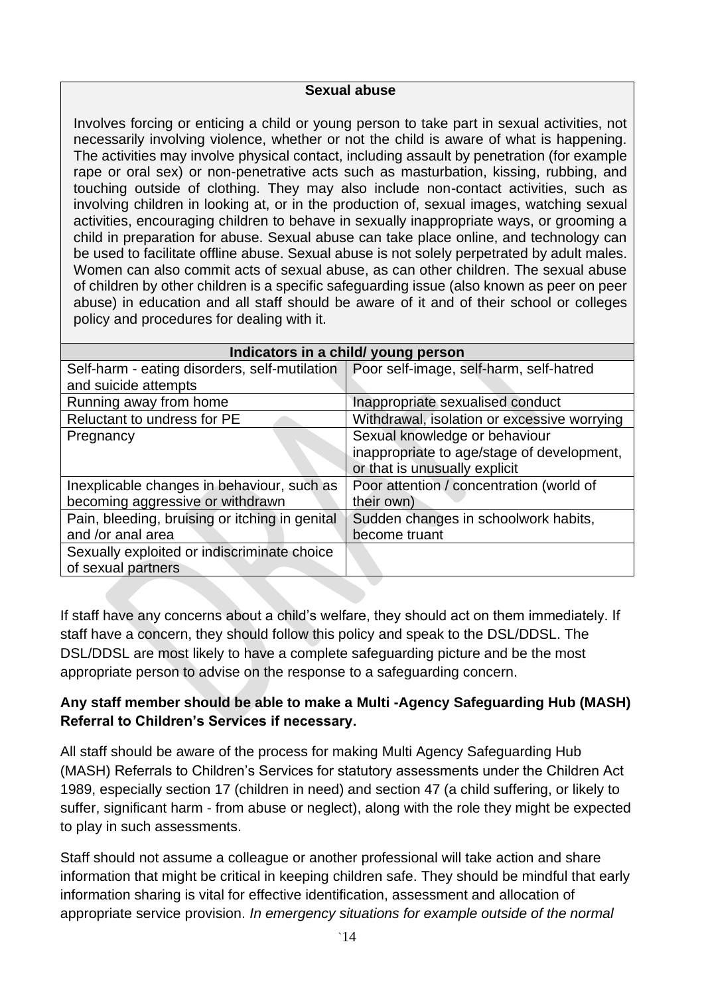#### **Sexual abuse**

Involves forcing or enticing a child or young person to take part in sexual activities, not necessarily involving violence, whether or not the child is aware of what is happening. The activities may involve physical contact, including assault by penetration (for example rape or oral sex) or non-penetrative acts such as masturbation, kissing, rubbing, and touching outside of clothing. They may also include non-contact activities, such as involving children in looking at, or in the production of, sexual images, watching sexual activities, encouraging children to behave in sexually inappropriate ways, or grooming a child in preparation for abuse. Sexual abuse can take place online, and technology can be used to facilitate offline abuse. Sexual abuse is not solely perpetrated by adult males. Women can also commit acts of sexual abuse, as can other children. The sexual abuse of children by other children is a specific safeguarding issue (also known as peer on peer abuse) in education and all staff should be aware of it and of their school or colleges policy and procedures for dealing with it.

| Indicators in a child/ young person            |                                             |  |
|------------------------------------------------|---------------------------------------------|--|
| Self-harm - eating disorders, self-mutilation  | Poor self-image, self-harm, self-hatred     |  |
| and suicide attempts                           |                                             |  |
| Running away from home                         | Inappropriate sexualised conduct            |  |
| Reluctant to undress for PE                    | Withdrawal, isolation or excessive worrying |  |
| Pregnancy                                      | Sexual knowledge or behaviour               |  |
|                                                | inappropriate to age/stage of development,  |  |
|                                                | or that is unusually explicit               |  |
| Inexplicable changes in behaviour, such as     | Poor attention / concentration (world of    |  |
| becoming aggressive or withdrawn               | their own)                                  |  |
| Pain, bleeding, bruising or itching in genital | Sudden changes in schoolwork habits,        |  |
| and /or anal area                              | become truant                               |  |
| Sexually exploited or indiscriminate choice    |                                             |  |
| of sexual partners                             |                                             |  |

If staff have any concerns about a child's welfare, they should act on them immediately. If staff have a concern, they should follow this policy and speak to the DSL/DDSL. The DSL/DDSL are most likely to have a complete safeguarding picture and be the most appropriate person to advise on the response to a safeguarding concern.

## **Any staff member should be able to make a Multi -Agency Safeguarding Hub (MASH) Referral to Children's Services if necessary.**

All staff should be aware of the process for making Multi Agency Safeguarding Hub (MASH) Referrals to Children's Services for statutory assessments under the Children Act 1989, especially section 17 (children in need) and section 47 (a child suffering, or likely to suffer, significant harm - from abuse or neglect), along with the role they might be expected to play in such assessments.

Staff should not assume a colleague or another professional will take action and share information that might be critical in keeping children safe. They should be mindful that early information sharing is vital for effective identification, assessment and allocation of appropriate service provision. *In emergency situations for example outside of the normal*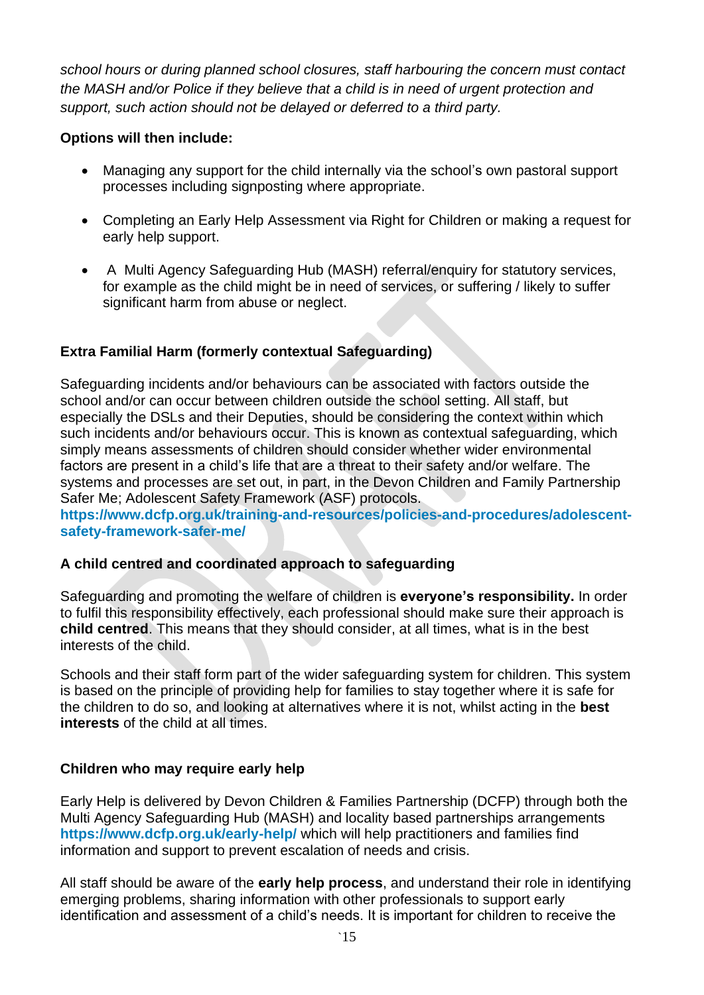*school hours or during planned school closures, staff harbouring the concern must contact the MASH and/or Police if they believe that a child is in need of urgent protection and support, such action should not be delayed or deferred to a third party.* 

## **Options will then include:**

- Managing any support for the child internally via the school's own pastoral support processes including signposting where appropriate.
- Completing an Early Help Assessment via Right for Children or making a request for early help support.
- A Multi Agency Safeguarding Hub (MASH) referral/enquiry for statutory services, for example as the child might be in need of services, or suffering / likely to suffer significant harm from abuse or neglect.

## **Extra Familial Harm (formerly contextual Safeguarding)**

Safeguarding incidents and/or behaviours can be associated with factors outside the school and/or can occur between children outside the school setting. All staff, but especially the DSLs and their Deputies, should be considering the context within which such incidents and/or behaviours occur. This is known as contextual safeguarding, which simply means assessments of children should consider whether wider environmental factors are present in a child's life that are a threat to their safety and/or welfare. The systems and processes are set out, in part, in the Devon Children and Family Partnership Safer Me; Adolescent Safety Framework (ASF) protocols.

**[https://www.dcfp.org.uk/training-and-resources/policies-and-procedures/adolescent](https://www.dcfp.org.uk/training-and-resources/policies-and-procedures/adolescent-safety-framework-safer-me/)[safety-framework-safer-me/](https://www.dcfp.org.uk/training-and-resources/policies-and-procedures/adolescent-safety-framework-safer-me/)**

## **A child centred and coordinated approach to safeguarding**

Safeguarding and promoting the welfare of children is **everyone's responsibility.** In order to fulfil this responsibility effectively, each professional should make sure their approach is **child centred**. This means that they should consider, at all times, what is in the best interests of the child.

Schools and their staff form part of the wider safeguarding system for children. This system is based on the principle of providing help for families to stay together where it is safe for the children to do so, and looking at alternatives where it is not, whilst acting in the **best interests** of the child at all times.

## **Children who may require early help**

Early Help is delivered by Devon Children & Families Partnership (DCFP) through both the Multi Agency Safeguarding Hub (MASH) and locality based partnerships arrangements **<https://www.dcfp.org.uk/early-help/>** which will help practitioners and families find information and support to prevent escalation of needs and crisis.

All staff should be aware of the **early help process**, and understand their role in identifying emerging problems, sharing information with other professionals to support early identification and assessment of a child's needs. It is important for children to receive the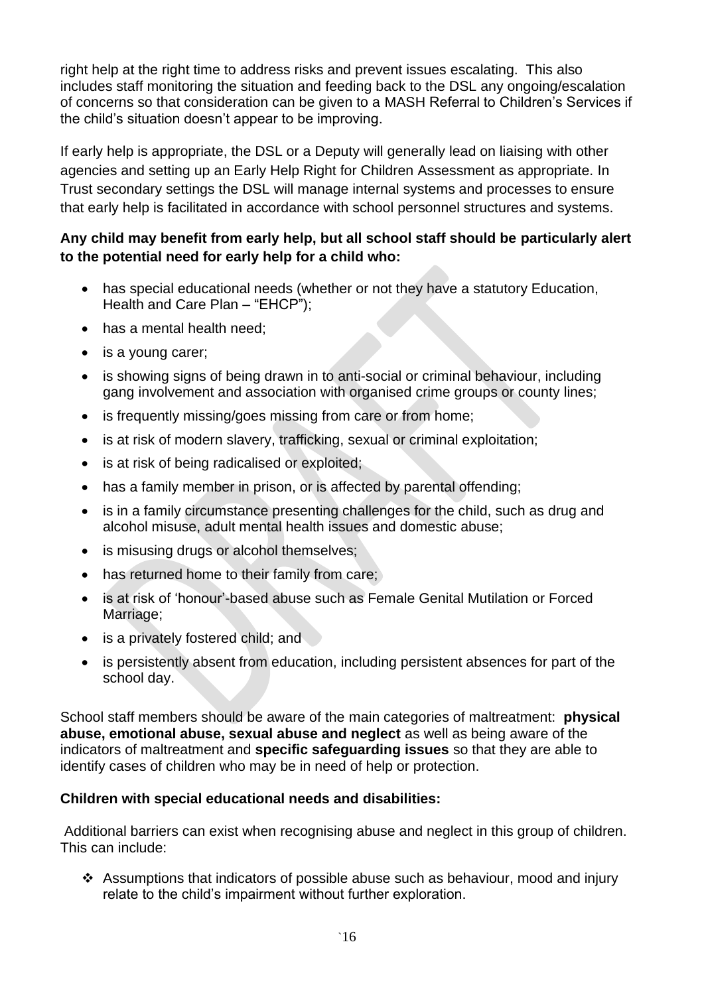right help at the right time to address risks and prevent issues escalating. This also includes staff monitoring the situation and feeding back to the DSL any ongoing/escalation of concerns so that consideration can be given to a MASH Referral to Children's Services if the child's situation doesn't appear to be improving.

If early help is appropriate, the DSL or a Deputy will generally lead on liaising with other agencies and setting up an Early Help Right for Children Assessment as appropriate. In Trust secondary settings the DSL will manage internal systems and processes to ensure that early help is facilitated in accordance with school personnel structures and systems.

## **Any child may benefit from early help, but all school staff should be particularly alert to the potential need for early help for a child who:**

- has special educational needs (whether or not they have a statutory Education, Health and Care Plan – "EHCP");
- has a mental health need:
- is a young carer;
- is showing signs of being drawn in to anti-social or criminal behaviour, including gang involvement and association with organised crime groups or county lines;
- is frequently missing/goes missing from care or from home;
- is at risk of modern slavery, trafficking, sexual or criminal exploitation;
- is at risk of being radicalised or exploited;
- has a family member in prison, or is affected by parental offending;
- is in a family circumstance presenting challenges for the child, such as drug and alcohol misuse, adult mental health issues and domestic abuse;
- is misusing drugs or alcohol themselves;
- has returned home to their family from care;
- is at risk of 'honour'-based abuse such as Female Genital Mutilation or Forced Marriage;
- is a privately fostered child; and
- is persistently absent from education, including persistent absences for part of the school day.

School staff members should be aware of the main categories of maltreatment: **physical abuse, emotional abuse, sexual abuse and neglect** as well as being aware of the indicators of maltreatment and **specific safeguarding issues** so that they are able to identify cases of children who may be in need of help or protection.

#### **Children with special educational needs and disabilities:**

Additional barriers can exist when recognising abuse and neglect in this group of children. This can include:

❖ Assumptions that indicators of possible abuse such as behaviour, mood and injury relate to the child's impairment without further exploration.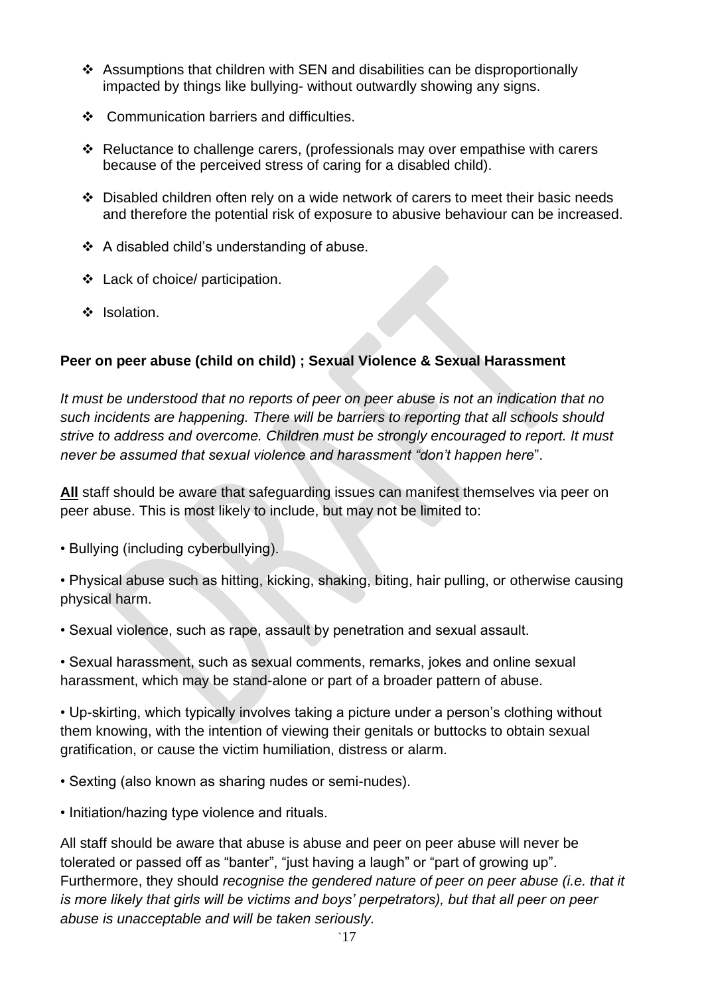- ❖ Assumptions that children with SEN and disabilities can be disproportionally impacted by things like bullying- without outwardly showing any signs.
- ❖ Communication barriers and difficulties.
- ❖ Reluctance to challenge carers, (professionals may over empathise with carers because of the perceived stress of caring for a disabled child).
- ❖ Disabled children often rely on a wide network of carers to meet their basic needs and therefore the potential risk of exposure to abusive behaviour can be increased.
- ❖ A disabled child's understanding of abuse.
- ❖ Lack of choice/ participation.
- ❖ Isolation.

## **Peer on peer abuse (child on child) ; Sexual Violence & Sexual Harassment**

*It must be understood that no reports of peer on peer abuse is not an indication that no such incidents are happening. There will be barriers to reporting that all schools should strive to address and overcome. Children must be strongly encouraged to report. It must never be assumed that sexual violence and harassment "don't happen here*".

**All** staff should be aware that safeguarding issues can manifest themselves via peer on peer abuse. This is most likely to include, but may not be limited to:

- Bullying (including cyberbullying).
- Physical abuse such as hitting, kicking, shaking, biting, hair pulling, or otherwise causing physical harm.
- Sexual violence, such as rape, assault by penetration and sexual assault.

• Sexual harassment, such as sexual comments, remarks, jokes and online sexual harassment, which may be stand-alone or part of a broader pattern of abuse.

• Up-skirting, which typically involves taking a picture under a person's clothing without them knowing, with the intention of viewing their genitals or buttocks to obtain sexual gratification, or cause the victim humiliation, distress or alarm.

- Sexting (also known as sharing nudes or semi-nudes).
- Initiation/hazing type violence and rituals.

All staff should be aware that abuse is abuse and peer on peer abuse will never be tolerated or passed off as "banter", "just having a laugh" or "part of growing up". Furthermore, they should *recognise the gendered nature of peer on peer abuse (i.e. that it is more likely that girls will be victims and boys' perpetrators), but that all peer on peer abuse is unacceptable and will be taken seriously.*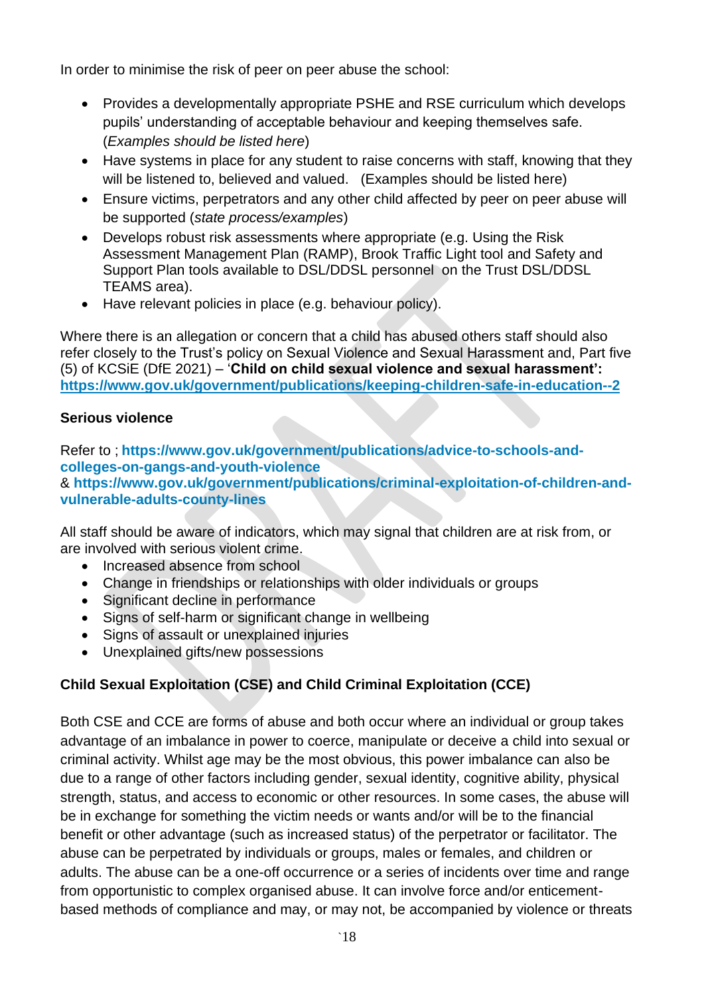In order to minimise the risk of peer on peer abuse the school:

- Provides a developmentally appropriate PSHE and RSE curriculum which develops pupils' understanding of acceptable behaviour and keeping themselves safe. (*Examples should be listed here*)
- Have systems in place for any student to raise concerns with staff, knowing that they will be listened to, believed and valued. (Examples should be listed here)
- Ensure victims, perpetrators and any other child affected by peer on peer abuse will be supported (*state process/examples*)
- Develops robust risk assessments where appropriate (e.g. Using the Risk Assessment Management Plan (RAMP), Brook Traffic Light tool and Safety and Support Plan tools available to DSL/DDSL personnel on the Trust DSL/DDSL TEAMS area).
- Have relevant policies in place (e.g. behaviour policy).

Where there is an allegation or concern that a child has abused others staff should also refer closely to the Trust's policy on Sexual Violence and Sexual Harassment and, Part five (5) of KCSiE (DfE 2021) – '**Child on child sexual violence and sexual harassment': <https://www.gov.uk/government/publications/keeping-children-safe-in-education--2>**

## **Serious violence**

Refer to ; **[https://www.gov.uk/government/publications/advice-to-schools-and](https://www.gov.uk/government/publications/advice-to-schools-and-colleges-on-gangs-and-youth-violence)[colleges-on-gangs-and-youth-violence](https://www.gov.uk/government/publications/advice-to-schools-and-colleges-on-gangs-and-youth-violence)** & **[https://www.gov.uk/government/publications/criminal-exploitation-of-children-and](https://www.gov.uk/government/publications/criminal-exploitation-of-children-and-vulnerable-adults-county-lines)[vulnerable-adults-county-lines](https://www.gov.uk/government/publications/criminal-exploitation-of-children-and-vulnerable-adults-county-lines)**

All staff should be aware of indicators, which may signal that children are at risk from, or are involved with serious violent crime.

- Increased absence from school
- Change in friendships or relationships with older individuals or groups
- Significant decline in performance
- Signs of self-harm or significant change in wellbeing
- Signs of assault or unexplained injuries
- Unexplained gifts/new possessions

# **Child Sexual Exploitation (CSE) and Child Criminal Exploitation (CCE)**

Both CSE and CCE are forms of abuse and both occur where an individual or group takes advantage of an imbalance in power to coerce, manipulate or deceive a child into sexual or criminal activity. Whilst age may be the most obvious, this power imbalance can also be due to a range of other factors including gender, sexual identity, cognitive ability, physical strength, status, and access to economic or other resources. In some cases, the abuse will be in exchange for something the victim needs or wants and/or will be to the financial benefit or other advantage (such as increased status) of the perpetrator or facilitator. The abuse can be perpetrated by individuals or groups, males or females, and children or adults. The abuse can be a one-off occurrence or a series of incidents over time and range from opportunistic to complex organised abuse. It can involve force and/or enticementbased methods of compliance and may, or may not, be accompanied by violence or threats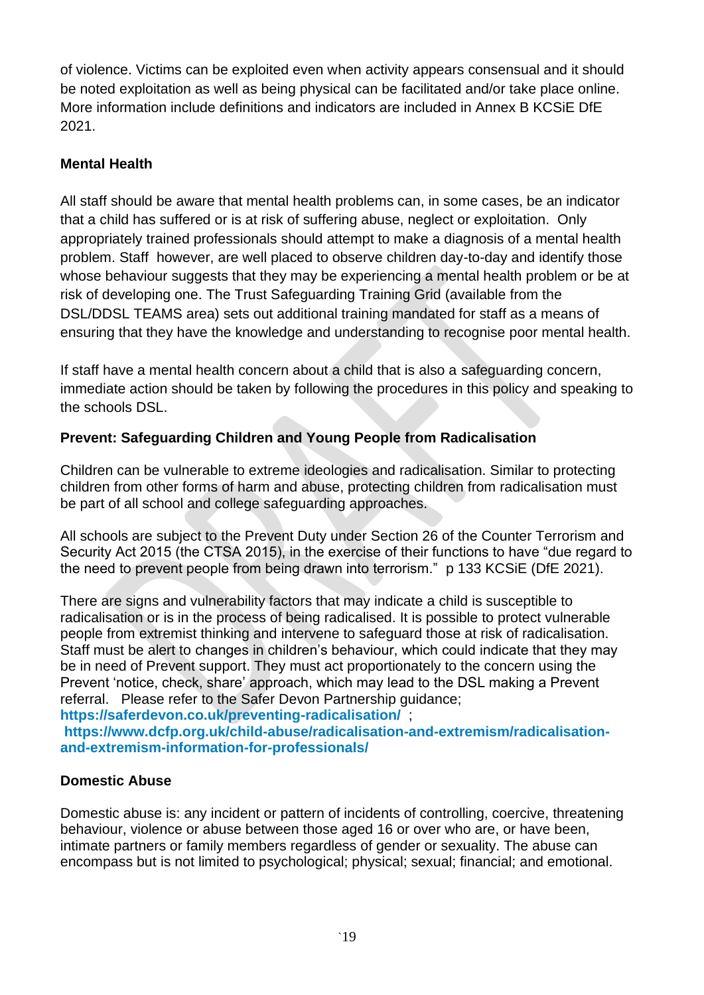of violence. Victims can be exploited even when activity appears consensual and it should be noted exploitation as well as being physical can be facilitated and/or take place online. More information include definitions and indicators are included in Annex B KCSiE DfE 2021.

## **Mental Health**

All staff should be aware that mental health problems can, in some cases, be an indicator that a child has suffered or is at risk of suffering abuse, neglect or exploitation. Only appropriately trained professionals should attempt to make a diagnosis of a mental health problem. Staff however, are well placed to observe children day-to-day and identify those whose behaviour suggests that they may be experiencing a mental health problem or be at risk of developing one. The Trust Safeguarding Training Grid (available from the DSL/DDSL TEAMS area) sets out additional training mandated for staff as a means of ensuring that they have the knowledge and understanding to recognise poor mental health.

If staff have a mental health concern about a child that is also a safeguarding concern, immediate action should be taken by following the procedures in this policy and speaking to the schools DSL.

## **Prevent: Safeguarding Children and Young People from Radicalisation**

Children can be vulnerable to extreme ideologies and radicalisation. Similar to protecting children from other forms of harm and abuse, protecting children from radicalisation must be part of all school and college safeguarding approaches.

All schools are subject to the Prevent Duty under Section 26 of the Counter Terrorism and Security Act 2015 (the CTSA 2015), in the exercise of their functions to have "due regard to the need to prevent people from being drawn into terrorism." p 133 KCSiE (DfE 2021).

There are signs and vulnerability factors that may indicate a child is susceptible to radicalisation or is in the process of being radicalised. It is possible to protect vulnerable people from extremist thinking and intervene to safeguard those at risk of radicalisation. Staff must be alert to changes in children's behaviour, which could indicate that they may be in need of Prevent support. They must act proportionately to the concern using the Prevent 'notice, check, share' approach, which may lead to the DSL making a Prevent referral. Please refer to the Safer Devon Partnership guidance;

**<https://saferdevon.co.uk/preventing-radicalisation/>** ;

**[https://www.dcfp.org.uk/child-abuse/radicalisation-and-extremism/radicalisation](https://www.dcfp.org.uk/child-abuse/radicalisation-and-extremism/radicalisation-and-extremism-information-for-professionals/)[and-extremism-information-for-professionals/](https://www.dcfp.org.uk/child-abuse/radicalisation-and-extremism/radicalisation-and-extremism-information-for-professionals/)**

## **Domestic Abuse**

Domestic abuse is: any incident or pattern of incidents of controlling, coercive, threatening behaviour, violence or abuse between those aged 16 or over who are, or have been, intimate partners or family members regardless of gender or sexuality. The abuse can encompass but is not limited to psychological; physical; sexual; financial; and emotional.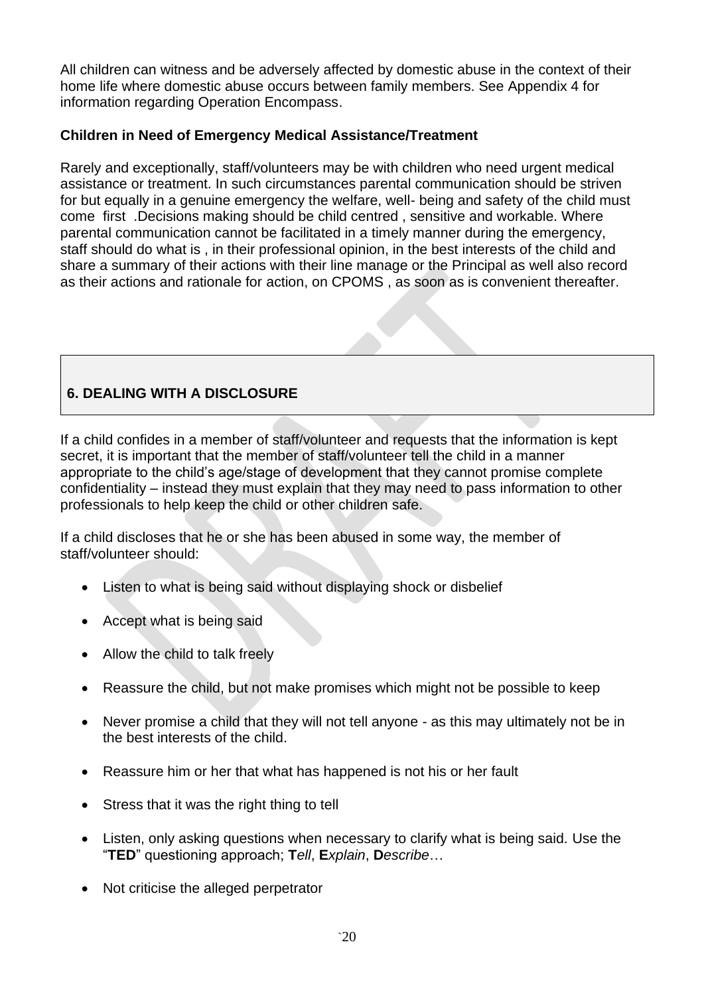All children can witness and be adversely affected by domestic abuse in the context of their home life where domestic abuse occurs between family members. See Appendix 4 for information regarding Operation Encompass.

## **Children in Need of Emergency Medical Assistance/Treatment**

Rarely and exceptionally, staff/volunteers may be with children who need urgent medical assistance or treatment. In such circumstances parental communication should be striven for but equally in a genuine emergency the welfare, well- being and safety of the child must come first .Decisions making should be child centred , sensitive and workable. Where parental communication cannot be facilitated in a timely manner during the emergency, staff should do what is , in their professional opinion, in the best interests of the child and share a summary of their actions with their line manage or the Principal as well also record as their actions and rationale for action, on CPOMS , as soon as is convenient thereafter.

## **6. DEALING WITH A DISCLOSURE**

If a child confides in a member of staff/volunteer and requests that the information is kept secret, it is important that the member of staff/volunteer tell the child in a manner appropriate to the child's age/stage of development that they cannot promise complete confidentiality – instead they must explain that they may need to pass information to other professionals to help keep the child or other children safe.

If a child discloses that he or she has been abused in some way, the member of staff/volunteer should:

- Listen to what is being said without displaying shock or disbelief
- Accept what is being said
- Allow the child to talk freely
- Reassure the child, but not make promises which might not be possible to keep
- Never promise a child that they will not tell anyone as this may ultimately not be in the best interests of the child.
- Reassure him or her that what has happened is not his or her fault
- Stress that it was the right thing to tell
- Listen, only asking questions when necessary to clarify what is being said. Use the "**TED**" questioning approach; **T***ell*, **E***xplain*, **D***escribe*…
- Not criticise the alleged perpetrator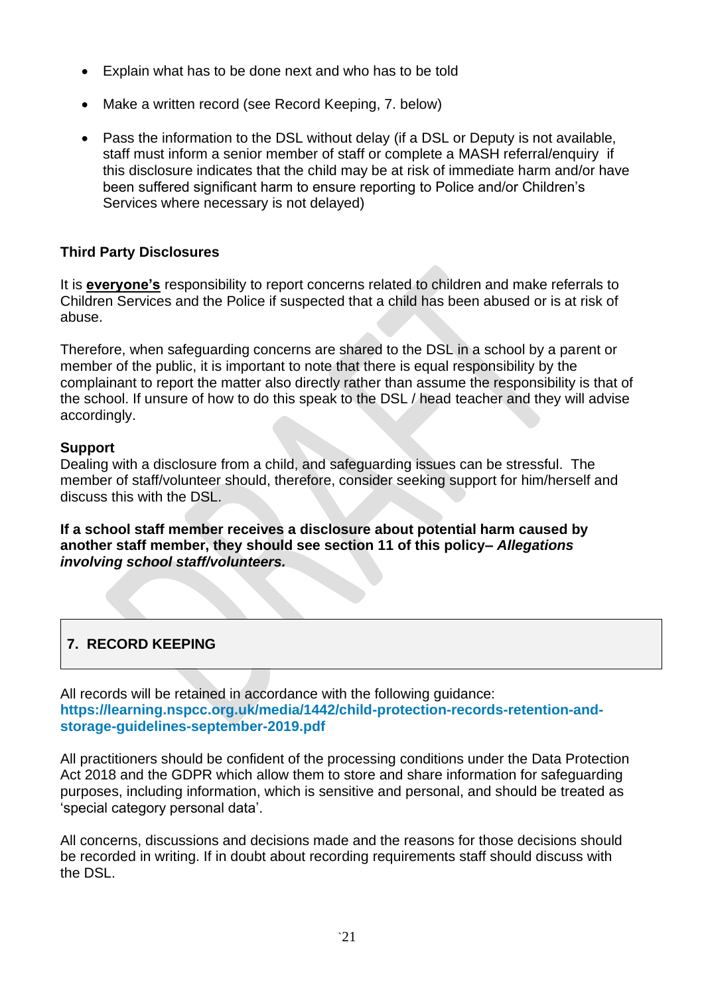- Explain what has to be done next and who has to be told
- Make a written record (see Record Keeping, 7. below)
- Pass the information to the DSL without delay (if a DSL or Deputy is not available, staff must inform a senior member of staff or complete a MASH referral/enquiry if this disclosure indicates that the child may be at risk of immediate harm and/or have been suffered significant harm to ensure reporting to Police and/or Children's Services where necessary is not delayed)

### **Third Party Disclosures**

It is **everyone's** responsibility to report concerns related to children and make referrals to Children Services and the Police if suspected that a child has been abused or is at risk of abuse.

Therefore, when safeguarding concerns are shared to the DSL in a school by a parent or member of the public, it is important to note that there is equal responsibility by the complainant to report the matter also directly rather than assume the responsibility is that of the school. If unsure of how to do this speak to the DSL / head teacher and they will advise accordingly.

#### **Support**

Dealing with a disclosure from a child, and safeguarding issues can be stressful. The member of staff/volunteer should, therefore, consider seeking support for him/herself and discuss this with the DSL.

**If a school staff member receives a disclosure about potential harm caused by another staff member, they should see section 11 of this policy–** *Allegations involving school staff/volunteers.* 

## **7. RECORD KEEPING**

All records will be retained in accordance with the following guidance: **[https://learning.nspcc.org.uk/media/1442/child-protection-records-retention-and](https://learning.nspcc.org.uk/media/1442/child-protection-records-retention-and-storage-guidelines-september-2019.pdf)[storage-guidelines-september-2019.pdf](https://learning.nspcc.org.uk/media/1442/child-protection-records-retention-and-storage-guidelines-september-2019.pdf)**

All practitioners should be confident of the processing conditions under the Data Protection Act 2018 and the GDPR which allow them to store and share information for safeguarding purposes, including information, which is sensitive and personal, and should be treated as 'special category personal data'.

All concerns, discussions and decisions made and the reasons for those decisions should be recorded in writing. If in doubt about recording requirements staff should discuss with the DSL.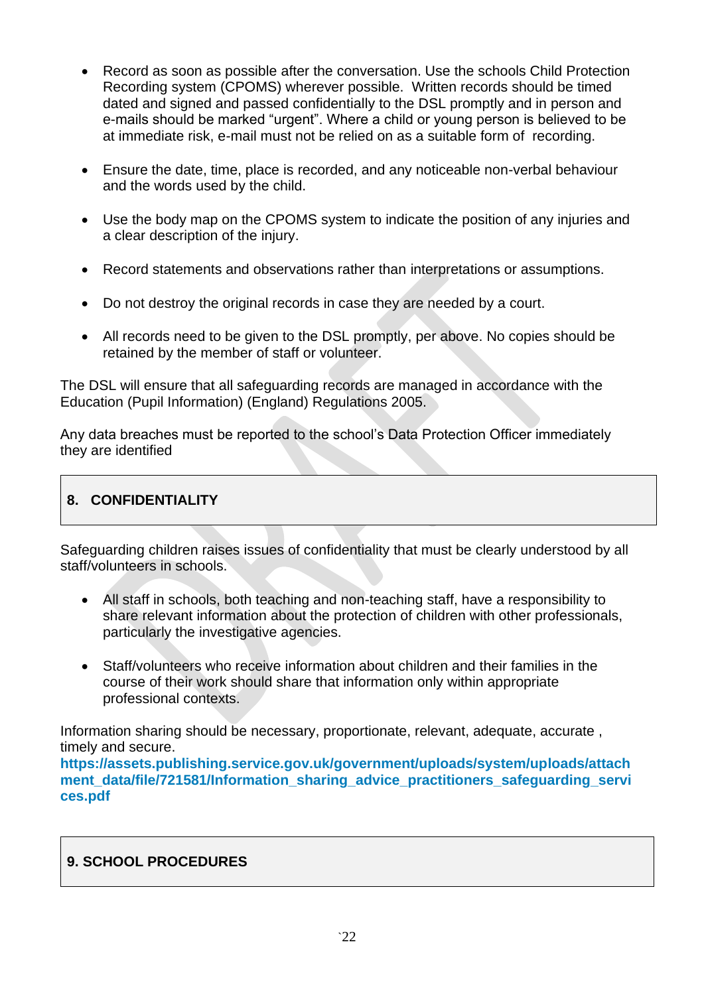- Record as soon as possible after the conversation. Use the schools Child Protection Recording system (CPOMS) wherever possible. Written records should be timed dated and signed and passed confidentially to the DSL promptly and in person and e-mails should be marked "urgent". Where a child or young person is believed to be at immediate risk, e-mail must not be relied on as a suitable form of recording.
- Ensure the date, time, place is recorded, and any noticeable non-verbal behaviour and the words used by the child.
- Use the body map on the CPOMS system to indicate the position of any injuries and a clear description of the injury.
- Record statements and observations rather than interpretations or assumptions.
- Do not destroy the original records in case they are needed by a court.
- All records need to be given to the DSL promptly, per above. No copies should be retained by the member of staff or volunteer.

The DSL will ensure that all safeguarding records are managed in accordance with the Education (Pupil Information) (England) Regulations 2005.

Any data breaches must be reported to the school's Data Protection Officer immediately they are identified

# **8. CONFIDENTIALITY**

Safeguarding children raises issues of confidentiality that must be clearly understood by all staff/volunteers in schools.

- All staff in schools, both teaching and non-teaching staff, have a responsibility to share relevant information about the protection of children with other professionals, particularly the investigative agencies.
- Staff/volunteers who receive information about children and their families in the course of their work should share that information only within appropriate professional contexts.

Information sharing should be necessary, proportionate, relevant, adequate, accurate , timely and secure.

**[https://assets.publishing.service.gov.uk/government/uploads/system/uploads/attach](https://assets.publishing.service.gov.uk/government/uploads/system/uploads/attachment_data/file/721581/Information_sharing_advice_practitioners_safeguarding_services.pdf) [ment\\_data/file/721581/Information\\_sharing\\_advice\\_practitioners\\_safeguarding\\_servi](https://assets.publishing.service.gov.uk/government/uploads/system/uploads/attachment_data/file/721581/Information_sharing_advice_practitioners_safeguarding_services.pdf) [ces.pdf](https://assets.publishing.service.gov.uk/government/uploads/system/uploads/attachment_data/file/721581/Information_sharing_advice_practitioners_safeguarding_services.pdf)**

## **9. SCHOOL PROCEDURES**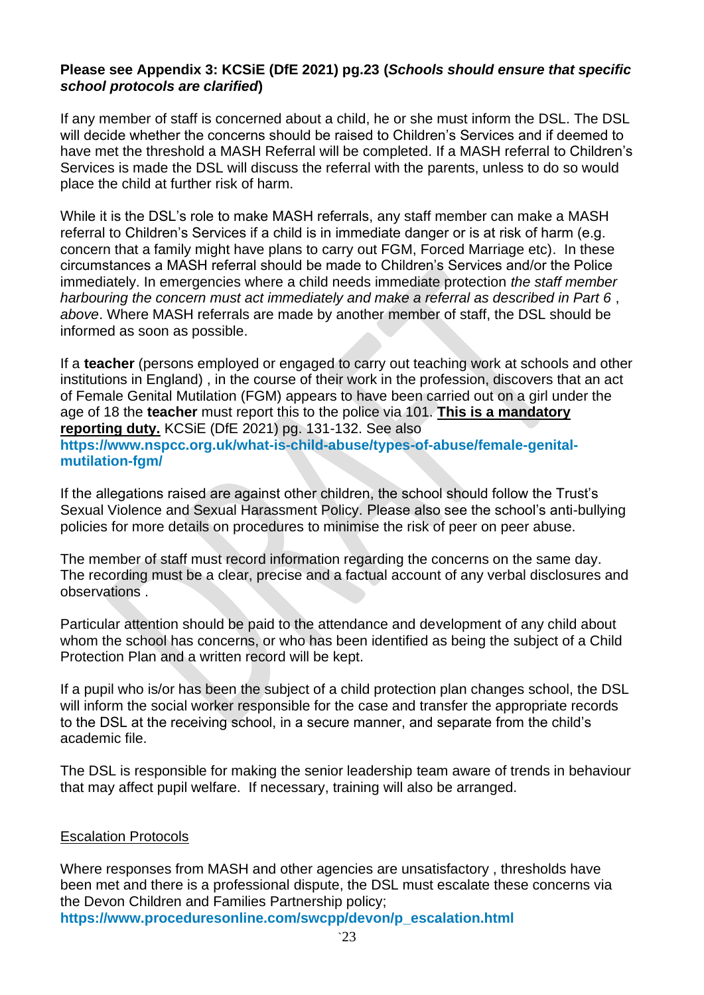### **Please see Appendix 3: KCSiE (DfE 2021) pg.23 (***Schools should ensure that specific school protocols are clarified***)**

If any member of staff is concerned about a child, he or she must inform the DSL. The DSL will decide whether the concerns should be raised to Children's Services and if deemed to have met the threshold a MASH Referral will be completed. If a MASH referral to Children's Services is made the DSL will discuss the referral with the parents, unless to do so would place the child at further risk of harm.

While it is the DSL's role to make MASH referrals, any staff member can make a MASH referral to Children's Services if a child is in immediate danger or is at risk of harm (e.g. concern that a family might have plans to carry out FGM, Forced Marriage etc). In these circumstances a MASH referral should be made to Children's Services and/or the Police immediately. In emergencies where a child needs immediate protection *the staff member harbouring the concern must act immediately and make a referral as described in Part 6* , *above*. Where MASH referrals are made by another member of staff, the DSL should be informed as soon as possible.

If a **teacher** (persons employed or engaged to carry out teaching work at schools and other institutions in England) , in the course of their work in the profession, discovers that an act of Female Genital Mutilation (FGM) appears to have been carried out on a girl under the age of 18 the **teacher** must report this to the police via 101. **This is a mandatory reporting duty.** KCSiE (DfE 2021) pg. 131-132. See also **[https://www.nspcc.org.uk/what-is-child-abuse/types-of-abuse/female-genital](https://www.nspcc.org.uk/what-is-child-abuse/types-of-abuse/female-genital-mutilation-fgm/)[mutilation-fgm/](https://www.nspcc.org.uk/what-is-child-abuse/types-of-abuse/female-genital-mutilation-fgm/)**

If the allegations raised are against other children, the school should follow the Trust's Sexual Violence and Sexual Harassment Policy. Please also see the school's anti-bullying policies for more details on procedures to minimise the risk of peer on peer abuse.

The member of staff must record information regarding the concerns on the same day. The recording must be a clear, precise and a factual account of any verbal disclosures and observations .

Particular attention should be paid to the attendance and development of any child about whom the school has concerns, or who has been identified as being the subject of a Child Protection Plan and a written record will be kept.

If a pupil who is/or has been the subject of a child protection plan changes school, the DSL will inform the social worker responsible for the case and transfer the appropriate records to the DSL at the receiving school, in a secure manner, and separate from the child's academic file.

The DSL is responsible for making the senior leadership team aware of trends in behaviour that may affect pupil welfare. If necessary, training will also be arranged.

#### Escalation Protocols

Where responses from MASH and other agencies are unsatisfactory , thresholds have been met and there is a professional dispute, the DSL must escalate these concerns via the Devon Children and Families Partnership policy;

**[https://www.proceduresonline.com/swcpp/devon/p\\_escalation.html](https://www.proceduresonline.com/swcpp/devon/p_escalation.html)**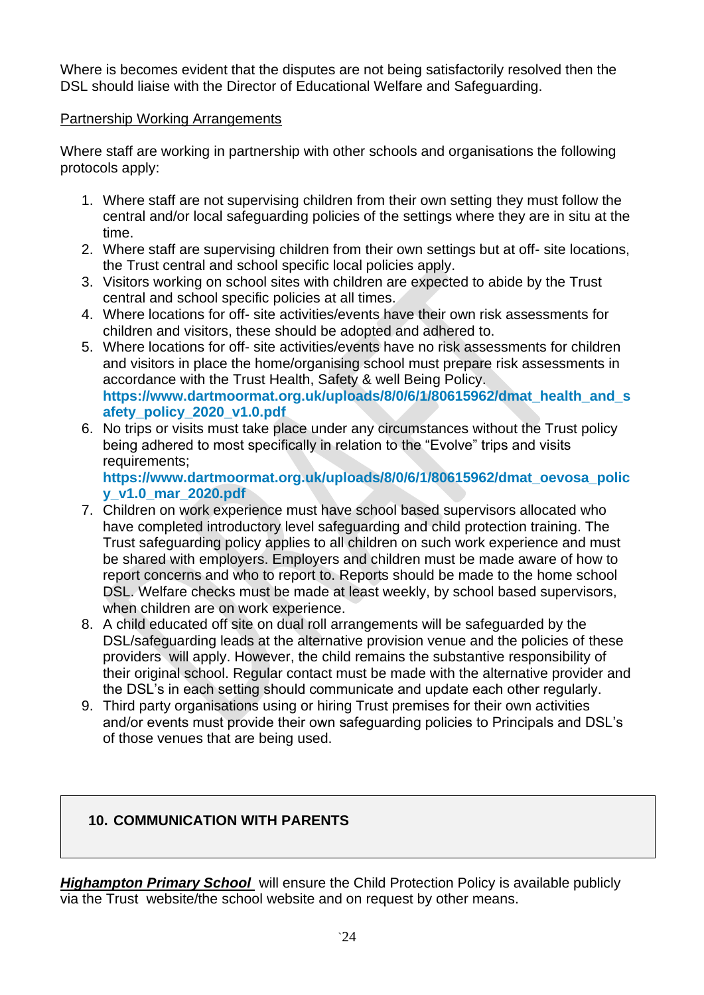Where is becomes evident that the disputes are not being satisfactorily resolved then the DSL should liaise with the Director of Educational Welfare and Safeguarding.

## Partnership Working Arrangements

Where staff are working in partnership with other schools and organisations the following protocols apply:

- 1. Where staff are not supervising children from their own setting they must follow the central and/or local safeguarding policies of the settings where they are in situ at the time.
- 2. Where staff are supervising children from their own settings but at off- site locations, the Trust central and school specific local policies apply.
- 3. Visitors working on school sites with children are expected to abide by the Trust central and school specific policies at all times.
- 4. Where locations for off- site activities/events have their own risk assessments for children and visitors, these should be adopted and adhered to.
- 5. Where locations for off- site activities/events have no risk assessments for children and visitors in place the home/organising school must prepare risk assessments in accordance with the Trust Health, Safety & well Being Policy. **[https://www.dartmoormat.org.uk/uploads/8/0/6/1/80615962/dmat\\_health\\_and\\_s](https://www.dartmoormat.org.uk/uploads/8/0/6/1/80615962/dmat_health_and_safety_policy_2020_v1.0.pdf) [afety\\_policy\\_2020\\_v1.0.pdf](https://www.dartmoormat.org.uk/uploads/8/0/6/1/80615962/dmat_health_and_safety_policy_2020_v1.0.pdf)**
- 6. No trips or visits must take place under any circumstances without the Trust policy being adhered to most specifically in relation to the "Evolve" trips and visits requirements;

**[https://www.dartmoormat.org.uk/uploads/8/0/6/1/80615962/dmat\\_oevosa\\_polic](https://www.dartmoormat.org.uk/uploads/8/0/6/1/80615962/dmat_oevosa_policy_v1.0_mar_2020.pdf) [y\\_v1.0\\_mar\\_2020.pdf](https://www.dartmoormat.org.uk/uploads/8/0/6/1/80615962/dmat_oevosa_policy_v1.0_mar_2020.pdf)**

- 7. Children on work experience must have school based supervisors allocated who have completed introductory level safeguarding and child protection training. The Trust safeguarding policy applies to all children on such work experience and must be shared with employers. Employers and children must be made aware of how to report concerns and who to report to. Reports should be made to the home school DSL. Welfare checks must be made at least weekly, by school based supervisors, when children are on work experience.
- 8. A child educated off site on dual roll arrangements will be safeguarded by the DSL/safeguarding leads at the alternative provision venue and the policies of these providers will apply. However, the child remains the substantive responsibility of their original school. Regular contact must be made with the alternative provider and the DSL's in each setting should communicate and update each other regularly.
- 9. Third party organisations using or hiring Trust premises for their own activities and/or events must provide their own safeguarding policies to Principals and DSL's of those venues that are being used.

## **10. COMMUNICATION WITH PARENTS**

*Highampton Primary School* will ensure the Child Protection Policy is available publicly via the Trust website/the school website and on request by other means.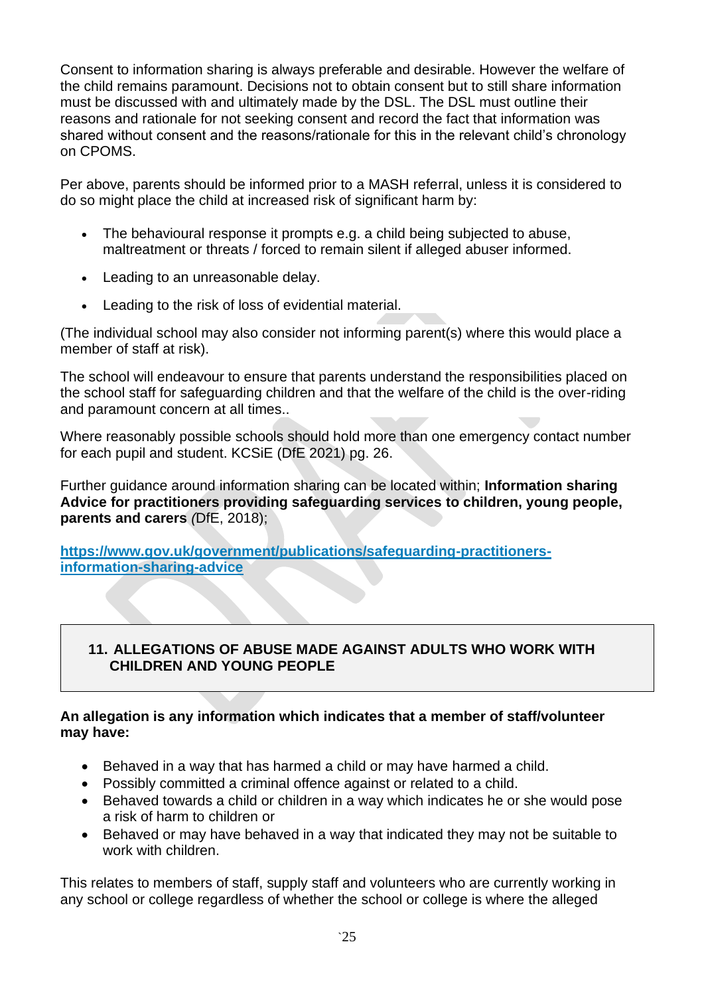Consent to information sharing is always preferable and desirable. However the welfare of the child remains paramount. Decisions not to obtain consent but to still share information must be discussed with and ultimately made by the DSL. The DSL must outline their reasons and rationale for not seeking consent and record the fact that information was shared without consent and the reasons/rationale for this in the relevant child's chronology on CPOMS.

Per above, parents should be informed prior to a MASH referral, unless it is considered to do so might place the child at increased risk of significant harm by:

- The behavioural response it prompts e.g. a child being subjected to abuse, maltreatment or threats / forced to remain silent if alleged abuser informed.
- Leading to an unreasonable delay.
- Leading to the risk of loss of evidential material.

(The individual school may also consider not informing parent(s) where this would place a member of staff at risk).

The school will endeavour to ensure that parents understand the responsibilities placed on the school staff for safeguarding children and that the welfare of the child is the over-riding and paramount concern at all times..

Where reasonably possible schools should hold more than one emergency contact number for each pupil and student. KCSiE (DfE 2021) pg. 26.

Further guidance around information sharing can be located within; **Information sharing Advice for practitioners providing safeguarding services to children, young people, parents and carers** *(*DfE, 2018);

**[https://www.gov.uk/government/publications/safeguarding-practitioners](https://www.gov.uk/government/publications/safeguarding-practitioners-information-sharing-advice)[information-sharing-advice](https://www.gov.uk/government/publications/safeguarding-practitioners-information-sharing-advice)**

## **11. ALLEGATIONS OF ABUSE MADE AGAINST ADULTS WHO WORK WITH CHILDREN AND YOUNG PEOPLE**

#### **An allegation is any information which indicates that a member of staff/volunteer may have:**

- Behaved in a way that has harmed a child or may have harmed a child.
- Possibly committed a criminal offence against or related to a child.
- Behaved towards a child or children in a way which indicates he or she would pose a risk of harm to children or
- Behaved or may have behaved in a way that indicated they may not be suitable to work with children.

This relates to members of staff, supply staff and volunteers who are currently working in any school or college regardless of whether the school or college is where the alleged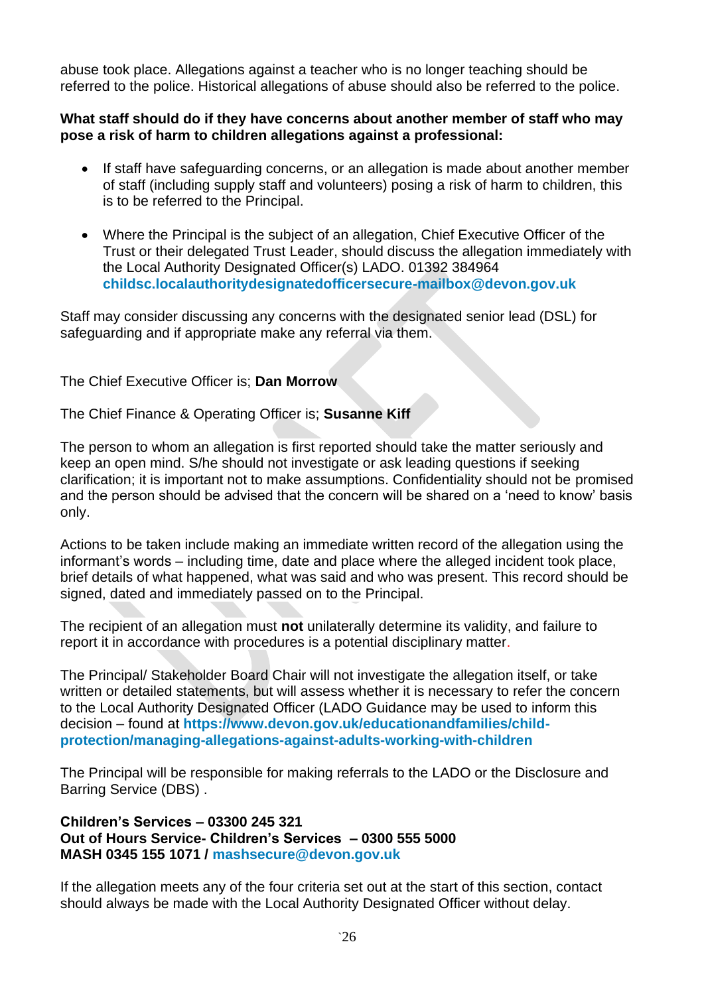abuse took place. Allegations against a teacher who is no longer teaching should be referred to the police. Historical allegations of abuse should also be referred to the police.

#### **What staff should do if they have concerns about another member of staff who may pose a risk of harm to children allegations against a professional:**

- If staff have safeguarding concerns, or an allegation is made about another member of staff (including supply staff and volunteers) posing a risk of harm to children, this is to be referred to the Principal.
- Where the Principal is the subject of an allegation, Chief Executive Officer of the Trust or their delegated Trust Leader, should discuss the allegation immediately with the Local Authority Designated Officer(s) LADO. 01392 384964 **[childsc.localauthoritydesignatedofficersecure-mailbox@devon.gov.uk](mailto:childsc.localauthoritydesignatedofficersecure-mailbox@devon.gov.uk)**

Staff may consider discussing any concerns with the designated senior lead (DSL) for safeguarding and if appropriate make any referral via them.

#### The Chief Executive Officer is; **Dan Morrow**

The Chief Finance & Operating Officer is; **Susanne Kiff**

The person to whom an allegation is first reported should take the matter seriously and keep an open mind. S/he should not investigate or ask leading questions if seeking clarification; it is important not to make assumptions. Confidentiality should not be promised and the person should be advised that the concern will be shared on a 'need to know' basis only.

Actions to be taken include making an immediate written record of the allegation using the informant's words – including time, date and place where the alleged incident took place, brief details of what happened, what was said and who was present. This record should be signed, dated and immediately passed on to the Principal.

The recipient of an allegation must **not** unilaterally determine its validity, and failure to report it in accordance with procedures is a potential disciplinary matter.

The Principal/ Stakeholder Board Chair will not investigate the allegation itself, or take written or detailed statements, but will assess whether it is necessary to refer the concern to the Local Authority Designated Officer (LADO Guidance may be used to inform this decision – found at **[https://www.devon.gov.uk/educationandfamilies/child](https://www.devon.gov.uk/educationandfamilies/child-protection/managing-allegations-against-adults-working-with-children)[protection/managing-allegations-against-adults-working-with-children](https://www.devon.gov.uk/educationandfamilies/child-protection/managing-allegations-against-adults-working-with-children)**

The Principal will be responsible for making referrals to the LADO or the Disclosure and Barring Service (DBS) .

**Children's Services – 03300 245 321 Out of Hours Service- Children's Services – 0300 555 5000 MASH 0345 155 1071 / [mashsecure@devon.gov.uk](mailto:mashsecure@devon.gov.uk)**

If the allegation meets any of the four criteria set out at the start of this section, contact should always be made with the Local Authority Designated Officer without delay.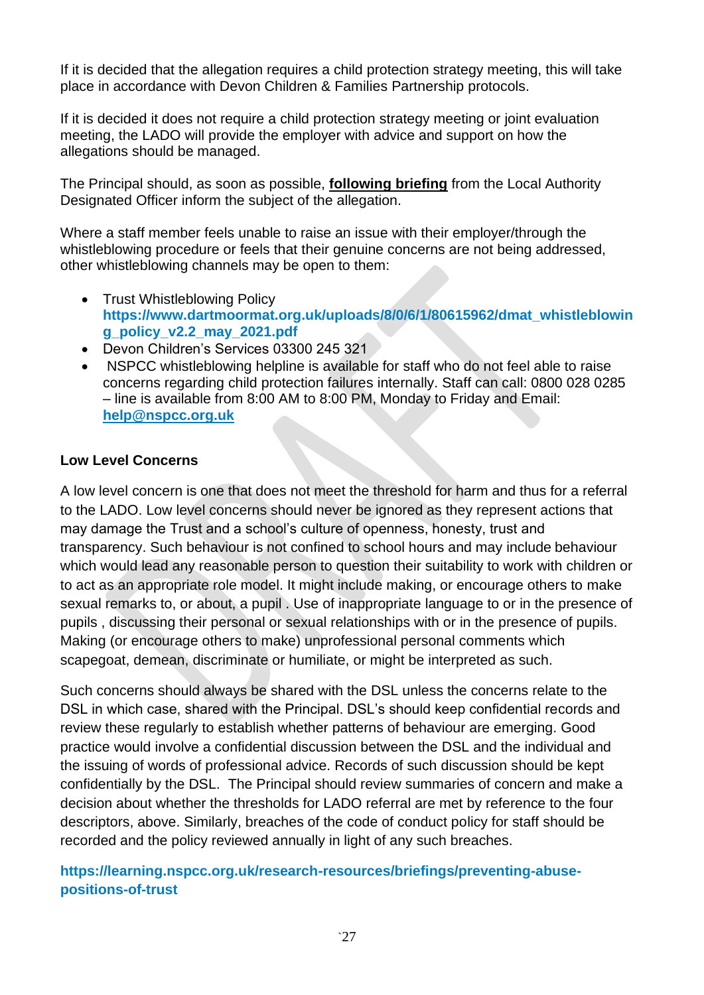If it is decided that the allegation requires a child protection strategy meeting, this will take place in accordance with Devon Children & Families Partnership protocols.

If it is decided it does not require a child protection strategy meeting or joint evaluation meeting, the LADO will provide the employer with advice and support on how the allegations should be managed.

The Principal should, as soon as possible, **following briefing** from the Local Authority Designated Officer inform the subject of the allegation.

Where a staff member feels unable to raise an issue with their employer/through the whistleblowing procedure or feels that their genuine concerns are not being addressed, other whistleblowing channels may be open to them:

- Trust Whistleblowing Policy **[https://www.dartmoormat.org.uk/uploads/8/0/6/1/80615962/dmat\\_whistleblowin](https://www.dartmoormat.org.uk/uploads/8/0/6/1/80615962/dmat_whistleblowing_policy_v2.2_may_2021.pdf) [g\\_policy\\_v2.2\\_may\\_2021.pdf](https://www.dartmoormat.org.uk/uploads/8/0/6/1/80615962/dmat_whistleblowing_policy_v2.2_may_2021.pdf)**
- Devon Children's Services 03300 245 321
- NSPCC whistleblowing helpline is available for staff who do not feel able to raise concerns regarding child protection failures internally. Staff can call: 0800 028 0285 – line is available from 8:00 AM to 8:00 PM, Monday to Friday and Email: **[help@nspcc.org.uk](mailto:help@nspcc.org.uk)**

## **Low Level Concerns**

A low level concern is one that does not meet the threshold for harm and thus for a referral to the LADO. Low level concerns should never be ignored as they represent actions that may damage the Trust and a school's culture of openness, honesty, trust and transparency. Such behaviour is not confined to school hours and may include behaviour which would lead any reasonable person to question their suitability to work with children or to act as an appropriate role model. It might include making, or encourage others to make sexual remarks to, or about, a pupil . Use of inappropriate language to or in the presence of pupils , discussing their personal or sexual relationships with or in the presence of pupils. Making (or encourage others to make) unprofessional personal comments which scapegoat, demean, discriminate or humiliate, or might be interpreted as such.

Such concerns should always be shared with the DSL unless the concerns relate to the DSL in which case, shared with the Principal. DSL's should keep confidential records and review these regularly to establish whether patterns of behaviour are emerging. Good practice would involve a confidential discussion between the DSL and the individual and the issuing of words of professional advice. Records of such discussion should be kept confidentially by the DSL. The Principal should review summaries of concern and make a decision about whether the thresholds for LADO referral are met by reference to the four descriptors, above. Similarly, breaches of the code of conduct policy for staff should be recorded and the policy reviewed annually in light of any such breaches.

## **[https://learning.nspcc.org.uk/research-resources/briefings/preventing-abuse](https://learning.nspcc.org.uk/research-resources/briefings/preventing-abuse-positions-of-trust)[positions-of-trust](https://learning.nspcc.org.uk/research-resources/briefings/preventing-abuse-positions-of-trust)**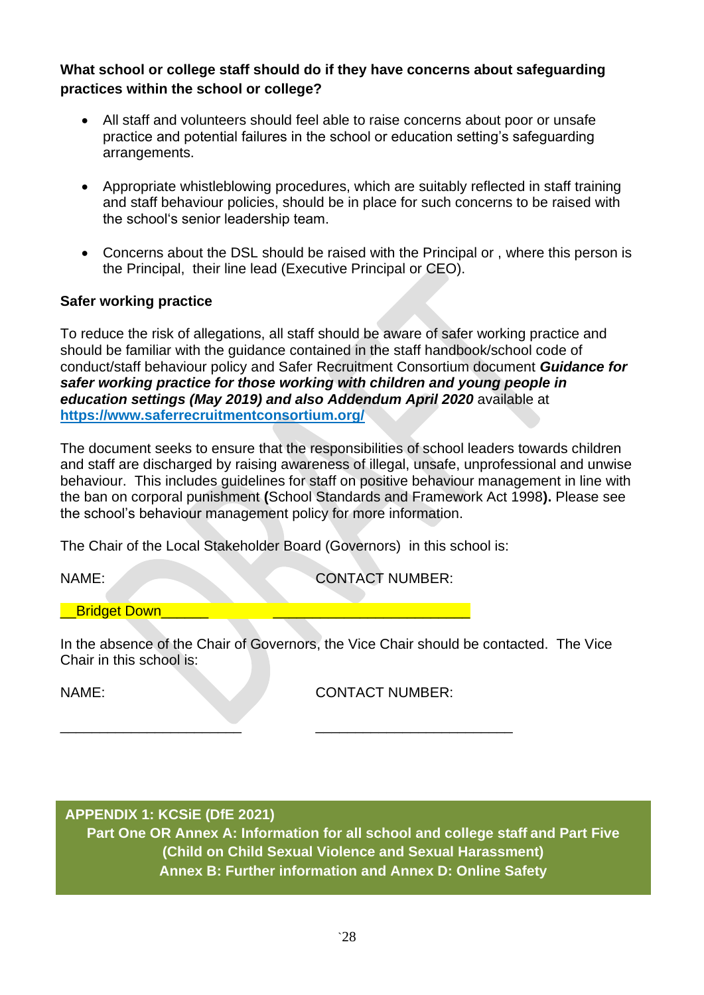**What school or college staff should do if they have concerns about safeguarding practices within the school or college?** 

- All staff and volunteers should feel able to raise concerns about poor or unsafe practice and potential failures in the school or education setting's safeguarding arrangements.
- Appropriate whistleblowing procedures, which are suitably reflected in staff training and staff behaviour policies, should be in place for such concerns to be raised with the school's senior leadership team.
- Concerns about the DSL should be raised with the Principal or , where this person is the Principal, their line lead (Executive Principal or CEO).

### **Safer working practice**

To reduce the risk of allegations, all staff should be aware of safer working practice and should be familiar with the guidance contained in the staff handbook/school code of conduct/staff behaviour policy and Safer Recruitment Consortium document *Guidance for safer working practice for those working with children and young people in education settings (May 2019) and also Addendum April 2020* available at **<https://www.saferrecruitmentconsortium.org/>**

The document seeks to ensure that the responsibilities of school leaders towards children and staff are discharged by raising awareness of illegal, unsafe, unprofessional and unwise behaviour. This includes guidelines for staff on positive behaviour management in line with the ban on corporal punishment **(**School Standards and Framework Act 1998**).** Please see the school's behaviour management policy for more information.

The Chair of the Local Stakeholder Board (Governors) in this school is:

\_\_\_\_\_\_\_\_\_\_\_\_\_\_\_\_\_\_\_\_\_\_\_ \_\_\_\_\_\_\_\_\_\_\_\_\_\_\_\_\_\_\_\_\_\_\_\_\_

NAME: CONTACT NUMBER:

## **\_\_Bridget Down\_\_\_**

In the absence of the Chair of Governors, the Vice Chair should be contacted. The Vice Chair in this school is:

NAME: CONTACT NUMBER:

## **APPENDIX 1: KCSiE (DfE 2021)**

**Part One OR Annex A: Information for all school and college staff and Part Five (Child on Child Sexual Violence and Sexual Harassment) Annex B: Further information and Annex D: Online Safety**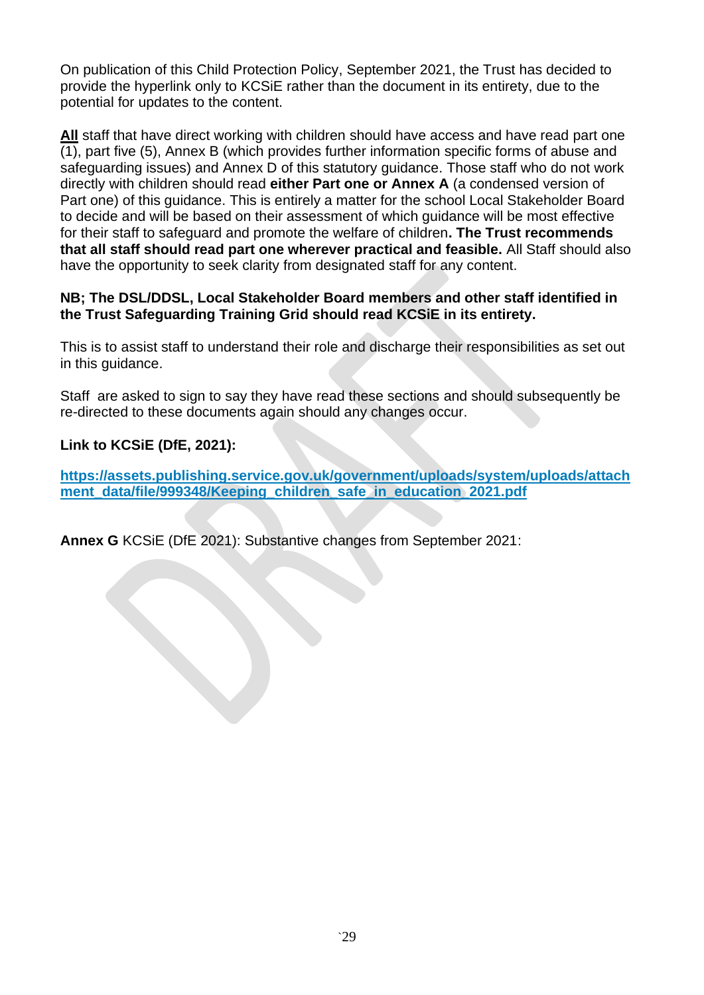On publication of this Child Protection Policy, September 2021, the Trust has decided to provide the hyperlink only to KCSiE rather than the document in its entirety, due to the potential for updates to the content.

**All** staff that have direct working with children should have access and have read part one (1), part five (5), Annex B (which provides further information specific forms of abuse and safeguarding issues) and Annex D of this statutory guidance. Those staff who do not work directly with children should read **either Part one or Annex A** (a condensed version of Part one) of this guidance. This is entirely a matter for the school Local Stakeholder Board to decide and will be based on their assessment of which guidance will be most effective for their staff to safeguard and promote the welfare of children**. The Trust recommends that all staff should read part one wherever practical and feasible.** All Staff should also have the opportunity to seek clarity from designated staff for any content.

### **NB; The DSL/DDSL, Local Stakeholder Board members and other staff identified in the Trust Safeguarding Training Grid should read KCSiE in its entirety.**

This is to assist staff to understand their role and discharge their responsibilities as set out in this guidance.

Staff are asked to sign to say they have read these sections and should subsequently be re-directed to these documents again should any changes occur.

## **Link to KCSiE (DfE, 2021):**

**[https://assets.publishing.service.gov.uk/government/uploads/system/uploads/attach](https://assets.publishing.service.gov.uk/government/uploads/system/uploads/attachment_data/file/999348/Keeping_children_safe_in_education_2021.pdf) [ment\\_data/file/999348/Keeping\\_children\\_safe\\_in\\_education\\_2021.pdf](https://assets.publishing.service.gov.uk/government/uploads/system/uploads/attachment_data/file/999348/Keeping_children_safe_in_education_2021.pdf)**

**Annex G** KCSiE (DfE 2021): Substantive changes from September 2021: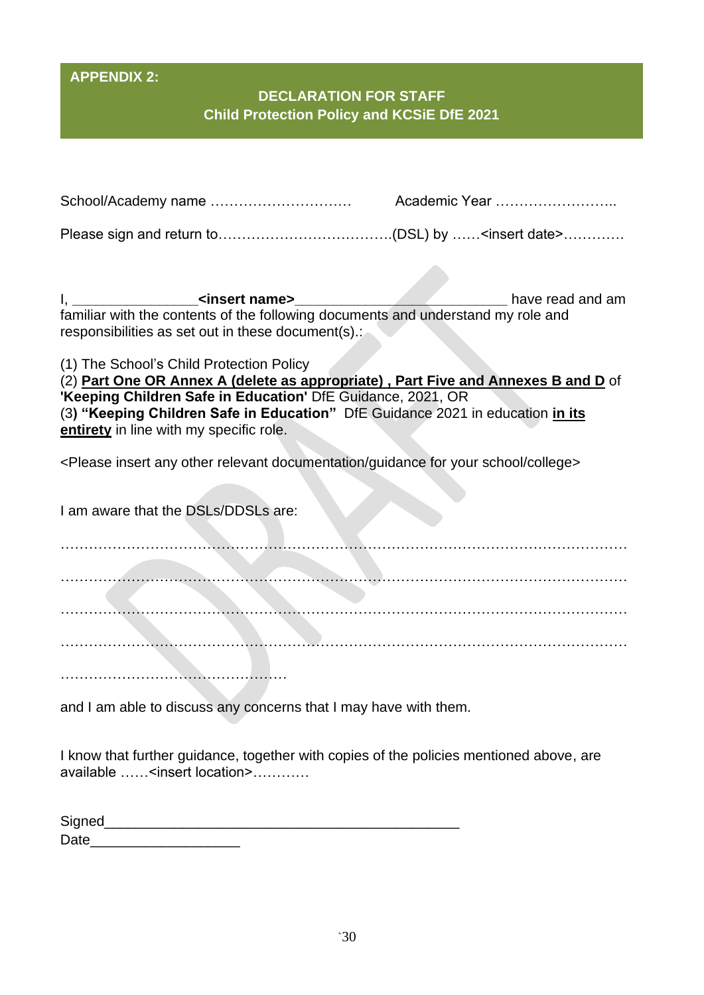# **APPENDIX 2:**

# **DECLARATION FOR STAFF Child Protection Policy and KCSiE DfE 2021**

| familiar with the contents of the following documents and understand my role and<br>responsibilities as set out in these document(s).:                                                                                                                                                                                    |  |
|---------------------------------------------------------------------------------------------------------------------------------------------------------------------------------------------------------------------------------------------------------------------------------------------------------------------------|--|
| (1) The School's Child Protection Policy<br>(2) Part One OR Annex A (delete as appropriate), Part Five and Annexes B and D of<br>'Keeping Children Safe in Education' DfE Guidance, 2021, OR<br>(3) "Keeping Children Safe in Education" DfE Guidance 2021 in education in its<br>entirety in line with my specific role. |  |
| <please any="" college="" documentation="" for="" guidance="" insert="" other="" relevant="" school="" your=""></please>                                                                                                                                                                                                  |  |
| I am aware that the DSLs/DDSLs are:                                                                                                                                                                                                                                                                                       |  |
|                                                                                                                                                                                                                                                                                                                           |  |
|                                                                                                                                                                                                                                                                                                                           |  |
|                                                                                                                                                                                                                                                                                                                           |  |
|                                                                                                                                                                                                                                                                                                                           |  |
| and I am able to discuss any concerns that I may have with them.                                                                                                                                                                                                                                                          |  |

I know that further guidance, together with copies of the policies mentioned above, are available ……<insert location>…………

| Signed |  |  |
|--------|--|--|
| Date   |  |  |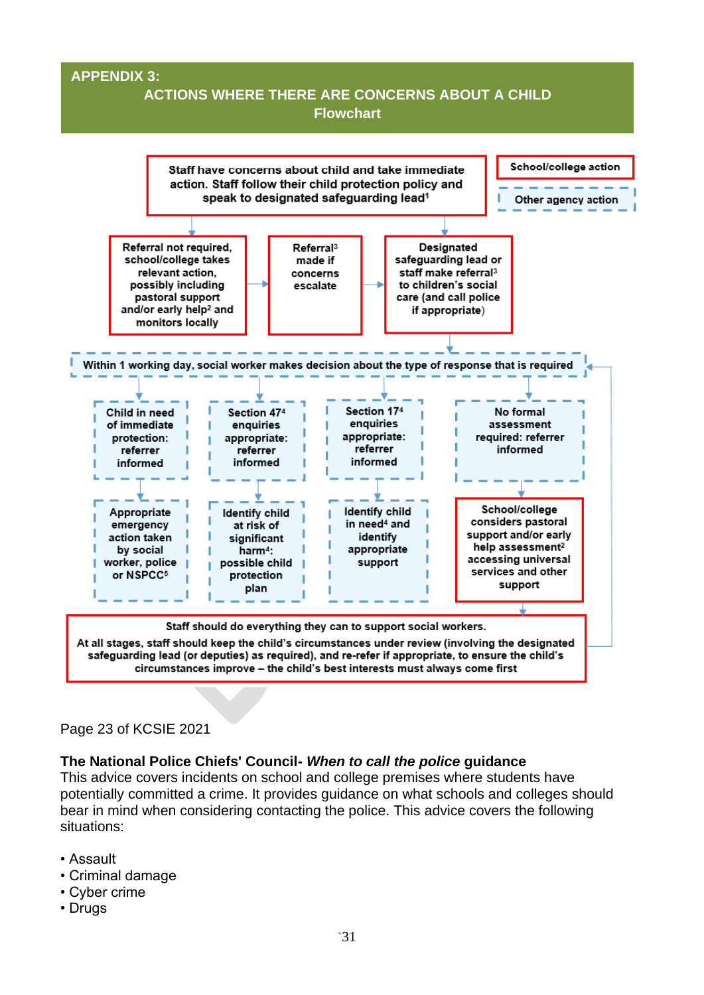### **APPENDIX 3:**

## **ACTIONS WHERE THERE ARE CONCERNS ABOUT A CHILD Flowchart**



#### Page 23 of KCSIE 2021

#### **The National Police Chiefs' Council-** *When to call the police* **guidance**

This advice covers incidents on school and college premises where students have potentially committed a crime. It provides guidance on what schools and colleges should bear in mind when considering contacting the police. This advice covers the following situations:

- Assault
- Criminal damage
- Cyber crime
- Drugs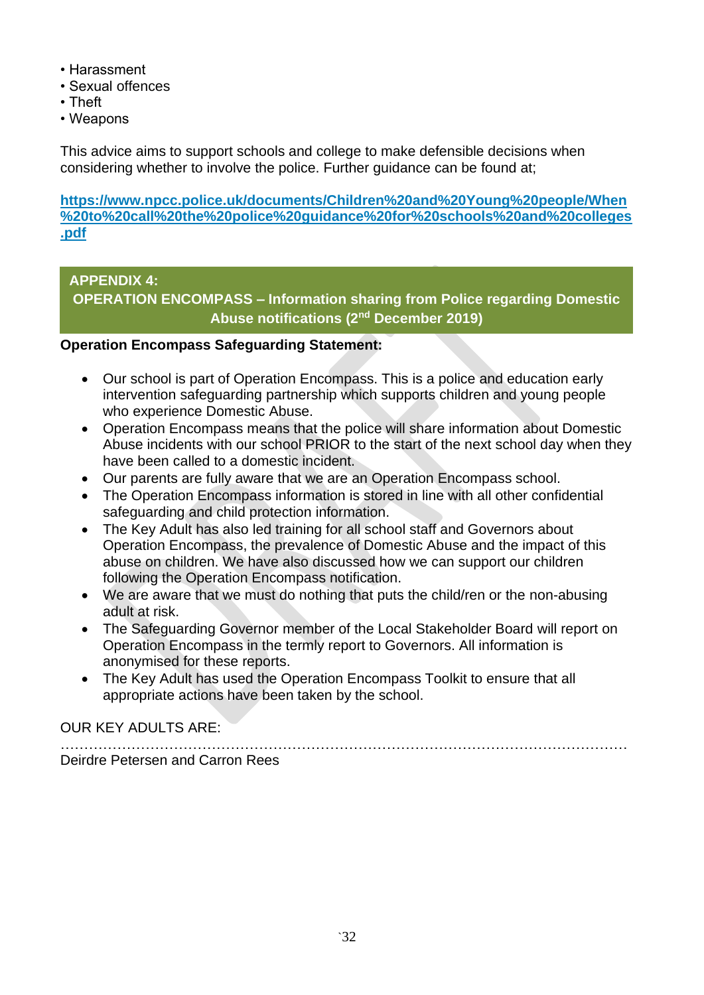- Harassment
- Sexual offences
- Theft
- Weapons

This advice aims to support schools and college to make defensible decisions when considering whether to involve the police. Further guidance can be found at;

**[https://www.npcc.police.uk/documents/Children%20and%20Young%20people/When](https://www.npcc.police.uk/documents/Children%20and%20Young%20people/When%20to%20call%20the%20police%20guidance%20for%20schools%20and%20colleges.pdf) [%20to%20call%20the%20police%20guidance%20for%20schools%20and%20colleges](https://www.npcc.police.uk/documents/Children%20and%20Young%20people/When%20to%20call%20the%20police%20guidance%20for%20schools%20and%20colleges.pdf) [.pdf](https://www.npcc.police.uk/documents/Children%20and%20Young%20people/When%20to%20call%20the%20police%20guidance%20for%20schools%20and%20colleges.pdf)**

## **APPENDIX 4:**

**OPERATION ENCOMPASS – Information sharing from Police regarding Domestic Abuse notifications (2nd December 2019)**

## **Operation Encompass Safeguarding Statement:**

- Our school is part of Operation Encompass. This is a police and education early intervention safeguarding partnership which supports children and young people who experience Domestic Abuse.
- Operation Encompass means that the police will share information about Domestic Abuse incidents with our school PRIOR to the start of the next school day when they have been called to a domestic incident.
- Our parents are fully aware that we are an Operation Encompass school.
- The Operation Encompass information is stored in line with all other confidential safeguarding and child protection information.
- The Key Adult has also led training for all school staff and Governors about Operation Encompass, the prevalence of Domestic Abuse and the impact of this abuse on children. We have also discussed how we can support our children following the Operation Encompass notification.
- We are aware that we must do nothing that puts the child/ren or the non-abusing adult at risk.
- The Safeguarding Governor member of the Local Stakeholder Board will report on Operation Encompass in the termly report to Governors. All information is anonymised for these reports.
- The Key Adult has used the Operation Encompass Toolkit to ensure that all appropriate actions have been taken by the school.

OUR KEY ADULTS ARE:

………………………………………………………………………………………………………… Deirdre Petersen and Carron Rees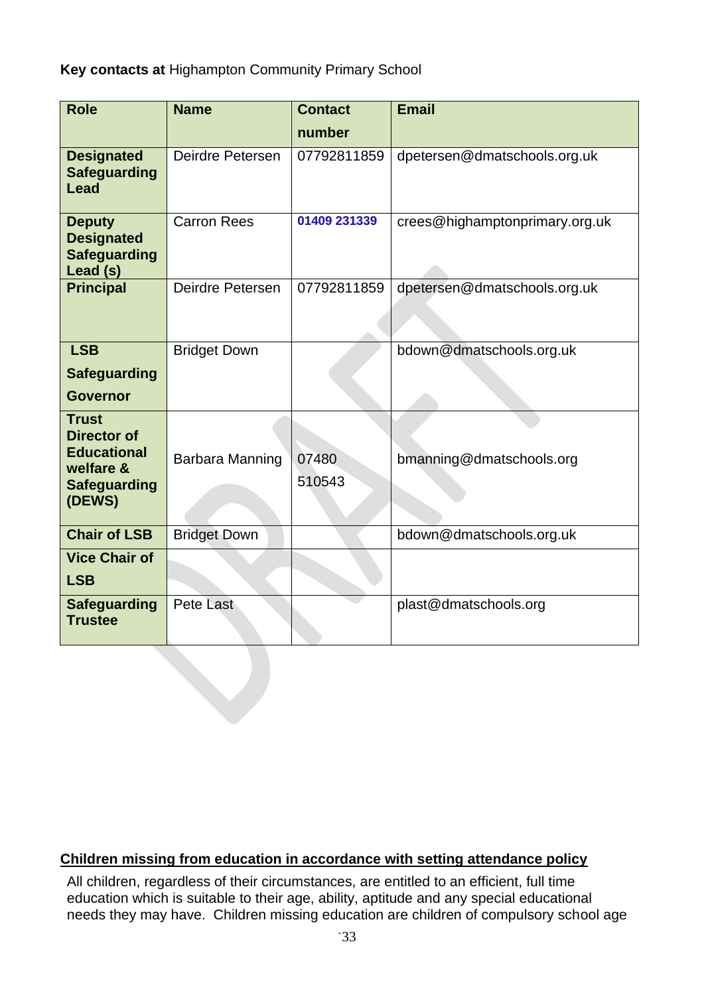**Key contacts at** Highampton Community Primary School

| <b>Role</b>                                                                                            | <b>Name</b>         | <b>Contact</b>  | <b>Email</b>                   |
|--------------------------------------------------------------------------------------------------------|---------------------|-----------------|--------------------------------|
|                                                                                                        |                     | number          |                                |
| <b>Designated</b><br><b>Safeguarding</b><br>Lead                                                       | Deirdre Petersen    | 07792811859     | dpetersen@dmatschools.org.uk   |
| <b>Deputy</b><br><b>Designated</b><br><b>Safeguarding</b><br>Lead (s)                                  | <b>Carron Rees</b>  | 01409 231339    | crees@highamptonprimary.org.uk |
| <b>Principal</b>                                                                                       | Deirdre Petersen    | 07792811859     | dpetersen@dmatschools.org.uk   |
| <b>LSB</b><br><b>Safeguarding</b>                                                                      | <b>Bridget Down</b> |                 | bdown@dmatschools.org.uk       |
| <b>Governor</b>                                                                                        |                     |                 |                                |
| <b>Trust</b><br><b>Director of</b><br><b>Educational</b><br>welfare &<br><b>Safeguarding</b><br>(DEWS) | Barbara Manning     | 07480<br>510543 | bmanning@dmatschools.org       |
| <b>Chair of LSB</b>                                                                                    | <b>Bridget Down</b> |                 | bdown@dmatschools.org.uk       |
| <b>Vice Chair of</b><br><b>LSB</b>                                                                     |                     |                 |                                |
| <b>Safeguarding</b><br><b>Trustee</b>                                                                  | <b>Pete Last</b>    |                 | plast@dmatschools.org          |

## **Children missing from education in accordance with setting attendance policy**

All children, regardless of their circumstances, are entitled to an efficient, full time education which is suitable to their age, ability, aptitude and any special educational needs they may have. Children missing education are children of compulsory school age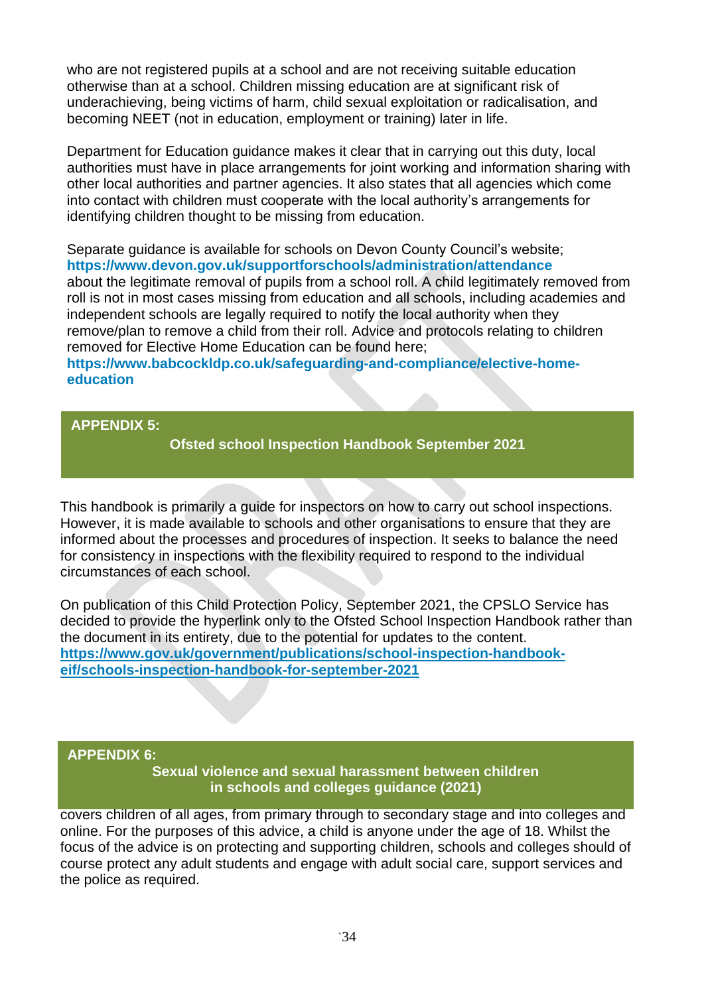who are not registered pupils at a school and are not receiving suitable education otherwise than at a school. Children missing education are at significant risk of underachieving, being victims of harm, child sexual exploitation or radicalisation, and becoming NEET (not in education, employment or training) later in life.

Department for Education guidance makes it clear that in carrying out this duty, local authorities must have in place arrangements for joint working and information sharing with other local authorities and partner agencies. It also states that all agencies which come into contact with children must cooperate with the local authority's arrangements for identifying children thought to be missing from education.

Separate guidance is available for schools on Devon County Council's website; **<https://www.devon.gov.uk/supportforschools/administration/attendance>** about the legitimate removal of pupils from a school roll. A child legitimately removed from roll is not in most cases missing from education and all schools, including academies and independent schools are legally required to notify the local authority when they remove/plan to remove a child from their roll. Advice and protocols relating to children removed for Elective Home Education can be found here;

#### **[https://www.babcockldp.co.uk/safeguarding-and-compliance/elective-home](https://www.babcockldp.co.uk/safeguarding-and-compliance/elective-home-education)[education](https://www.babcockldp.co.uk/safeguarding-and-compliance/elective-home-education)**

**APPENDIX 5:** 

**Ofsted school Inspection Handbook September 2021**

This handbook is primarily a guide for inspectors on how to carry out school inspections. However, it is made available to schools and other organisations to ensure that they are informed about the processes and procedures of inspection. It seeks to balance the need for consistency in inspections with the flexibility required to respond to the individual circumstances of each school.

On publication of this Child Protection Policy, September 2021, the CPSLO Service has decided to provide the hyperlink only to the Ofsted School Inspection Handbook rather than the document in its entirety, due to the potential for updates to the content. **[https://www.gov.uk/government/publications/school-inspection-handbook](https://www.gov.uk/government/publications/school-inspection-handbook-eif/schools-inspection-handbook-for-september-2021)[eif/schools-inspection-handbook-for-september-2021](https://www.gov.uk/government/publications/school-inspection-handbook-eif/schools-inspection-handbook-for-september-2021)**

#### **APPENDIX 6:**

This is advice provided by the Department for Education (the department). Its focus is child **in schools and colleges guidance (2021)** on child sexual violence and sexual group galaxies  $(1, 1, 1)$ **Sexual violence and sexual harassment between children** 

covers children of all ages, from primary through to secondary stage and into colleges and online. For the purposes of this advice, a child is anyone under the age of 18. Whilst the focus of the advice is on protecting and supporting children, schools and colleges should of course protect any adult students and engage with adult social care, support services and the police as required.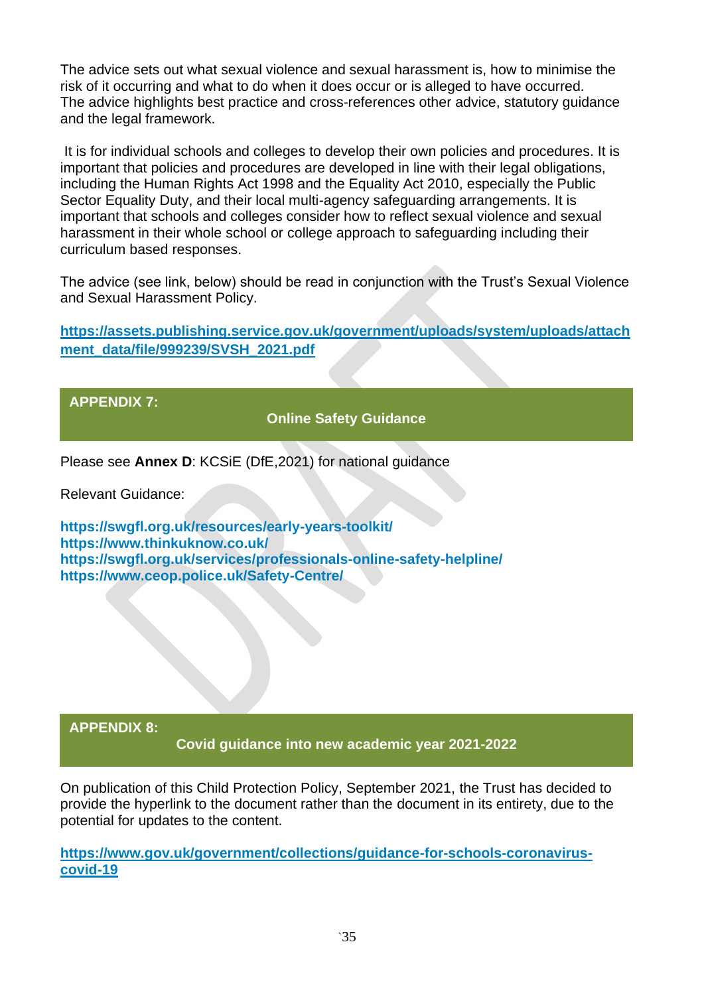The advice sets out what sexual violence and sexual harassment is, how to minimise the risk of it occurring and what to do when it does occur or is alleged to have occurred. The advice highlights best practice and cross-references other advice, statutory guidance and the legal framework.

It is for individual schools and colleges to develop their own policies and procedures. It is important that policies and procedures are developed in line with their legal obligations, including the Human Rights Act 1998 and the Equality Act 2010, especially the Public Sector Equality Duty, and their local multi-agency safeguarding arrangements. It is important that schools and colleges consider how to reflect sexual violence and sexual harassment in their whole school or college approach to safeguarding including their curriculum based responses.

The advice (see link, below) should be read in conjunction with the Trust's Sexual Violence and Sexual Harassment Policy.

**[https://assets.publishing.service.gov.uk/government/uploads/system/uploads/attach](https://assets.publishing.service.gov.uk/government/uploads/system/uploads/attachment_data/file/999239/SVSH_2021.pdf) [ment\\_data/file/999239/SVSH\\_2021.pdf](https://assets.publishing.service.gov.uk/government/uploads/system/uploads/attachment_data/file/999239/SVSH_2021.pdf)**

**APPENDIX 7:**

**Online Safety Guidance**

Please see **Annex D**: KCSiE (DfE,2021) for national guidance

Relevant Guidance:

**<https://swgfl.org.uk/resources/early-years-toolkit/> <https://www.thinkuknow.co.uk/> <https://swgfl.org.uk/services/professionals-online-safety-helpline/> <https://www.ceop.police.uk/Safety-Centre/>**

**APPENDIX 8:**

**Covid guidance into new academic year 2021-2022**

On publication of this Child Protection Policy, September 2021, the Trust has decided to provide the hyperlink to the document rather than the document in its entirety, due to the potential for updates to the content.

**[https://www.gov.uk/government/collections/guidance-for-schools-coronavirus](https://www.gov.uk/government/collections/guidance-for-schools-coronavirus-covid-19)[covid-19](https://www.gov.uk/government/collections/guidance-for-schools-coronavirus-covid-19)**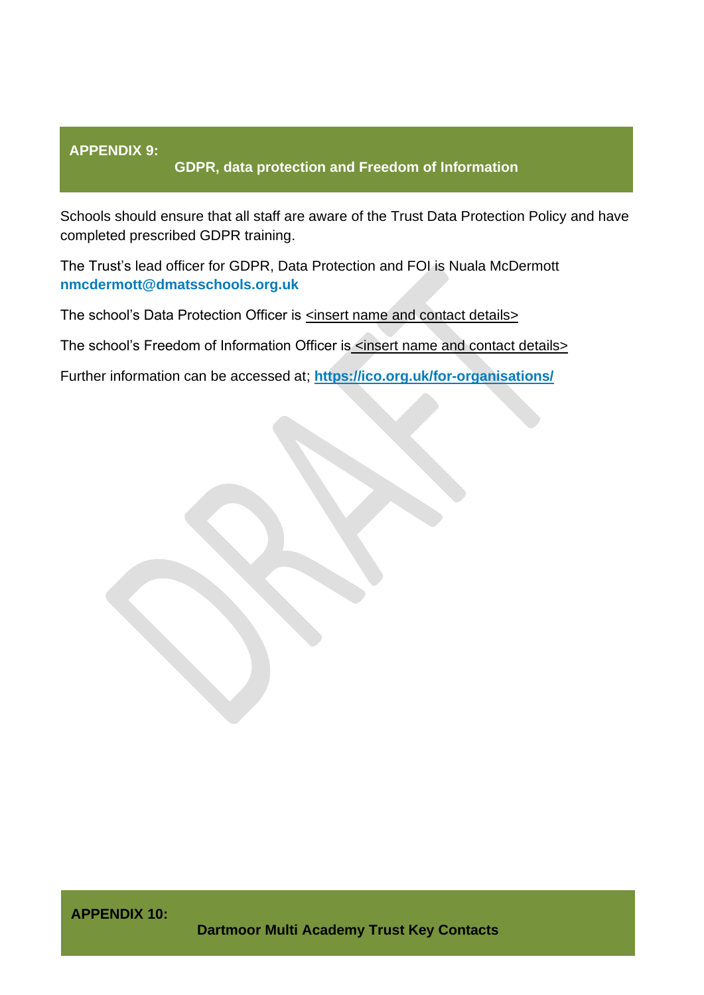### **APPENDIX 9:**

### **GDPR, data protection and Freedom of Information**

Schools should ensure that all staff are aware of the Trust Data Protection Policy and have completed prescribed GDPR training.

The Trust's lead officer for GDPR, Data Protection and FOI is Nuala McDermott **[nmcdermott@dmatsschools.org.uk](mailto:nmcdermott@dmatsschools.org.uk)**

The school's Data Protection Officer is <insert name and contact details>

The school's Freedom of Information Officer is <insert name and contact details>

Further information can be accessed at; **<https://ico.org.uk/for-organisations/>**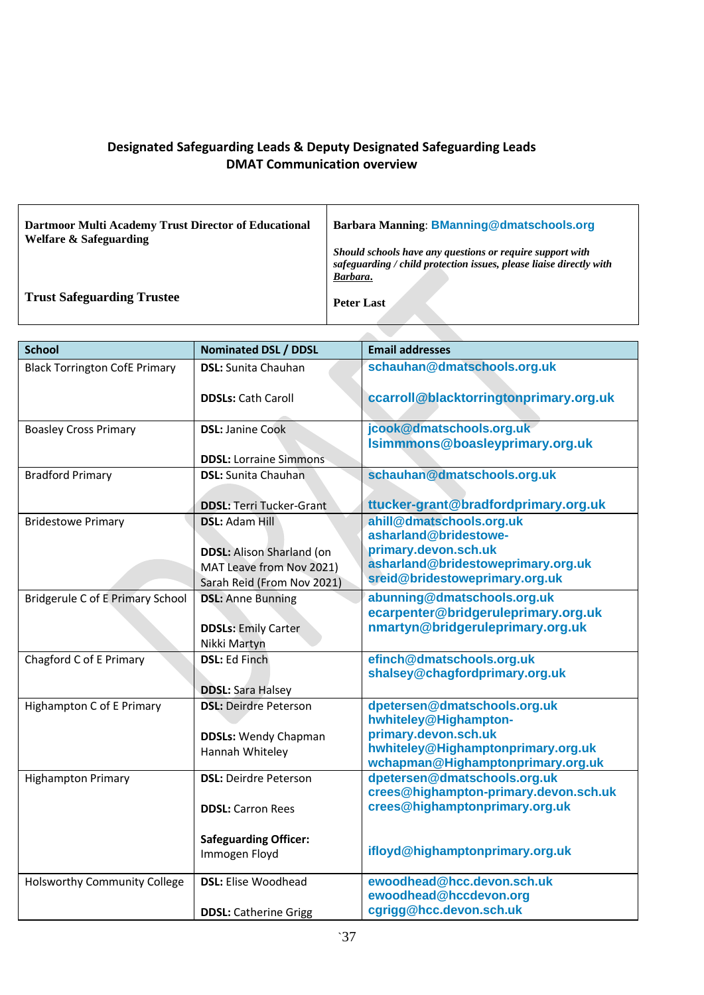## **Designated Safeguarding Leads & Deputy Designated Safeguarding Leads DMAT Communication overview**

| Dartmoor Multi Academy Trust Director of Educational<br><b>Welfare &amp; Safeguarding</b> | <b>Barbara Manning: BManning@dmatschools.org</b>                                                                                             |
|-------------------------------------------------------------------------------------------|----------------------------------------------------------------------------------------------------------------------------------------------|
|                                                                                           | Should schools have any questions or require support with<br>safeguarding / child protection issues, please liaise directly with<br>Barbara. |
| <b>Trust Safeguarding Trustee</b>                                                         | <b>Peter Last</b>                                                                                                                            |

| <b>School</b>                        | <b>Nominated DSL / DDSL</b>                | <b>Email addresses</b>                                                  |
|--------------------------------------|--------------------------------------------|-------------------------------------------------------------------------|
| <b>Black Torrington CofE Primary</b> | <b>DSL:</b> Sunita Chauhan                 | schauhan@dmatschools.org.uk                                             |
|                                      | <b>DDSLs: Cath Caroll</b>                  | ccarroll@blacktorringtonprimary.org.uk                                  |
| <b>Boasley Cross Primary</b>         | <b>DSL: Janine Cook</b>                    | jcook@dmatschools.org.uk<br>Isimmmons@boasleyprimary.org.uk             |
|                                      | <b>DDSL:</b> Lorraine Simmons              |                                                                         |
| <b>Bradford Primary</b>              | <b>DSL:</b> Sunita Chauhan                 | schauhan@dmatschools.org.uk                                             |
|                                      | <b>DDSL: Terri Tucker-Grant</b>            | ttucker-grant@bradfordprimary.org.uk                                    |
| <b>Bridestowe Primary</b>            | <b>DSL: Adam Hill</b>                      | ahill@dmatschools.org.uk<br>asharland@bridestowe-                       |
|                                      | <b>DDSL:</b> Alison Sharland (on           | primary.devon.sch.uk                                                    |
|                                      | MAT Leave from Nov 2021)                   | asharland@bridestoweprimary.org.uk                                      |
|                                      | Sarah Reid (From Nov 2021)                 | sreid@bridestoweprimary.org.uk                                          |
| Bridgerule C of E Primary School     | <b>DSL: Anne Bunning</b>                   | abunning@dmatschools.org.uk                                             |
|                                      |                                            | ecarpenter@bridgeruleprimary.org.uk                                     |
|                                      | <b>DDSLs: Emily Carter</b><br>Nikki Martyn | nmartyn@bridgeruleprimary.org.uk                                        |
| Chagford C of E Primary              | <b>DSL: Ed Finch</b>                       | efinch@dmatschools.org.uk                                               |
|                                      |                                            | shalsey@chagfordprimary.org.uk                                          |
|                                      | <b>DDSL: Sara Halsey</b>                   |                                                                         |
| Highampton C of E Primary            | <b>DSL: Deirdre Peterson</b>               | dpetersen@dmatschools.org.uk<br>hwhiteley@Highampton-                   |
|                                      | <b>DDSLs:</b> Wendy Chapman                | primary.devon.sch.uk                                                    |
|                                      | Hannah Whiteley                            | hwhiteley@Highamptonprimary.org.uk                                      |
|                                      |                                            | wchapman@Highamptonprimary.org.uk                                       |
| <b>Highampton Primary</b>            | <b>DSL: Deirdre Peterson</b>               | dpetersen@dmatschools.org.uk                                            |
|                                      |                                            | crees@highampton-primary.devon.sch.uk<br>crees@highamptonprimary.org.uk |
|                                      | <b>DDSL:</b> Carron Rees                   |                                                                         |
|                                      | <b>Safeguarding Officer:</b>               |                                                                         |
|                                      | Immogen Floyd                              | ifloyd@highamptonprimary.org.uk                                         |
| <b>Holsworthy Community College</b>  | <b>DSL:</b> Elise Woodhead                 | ewoodhead@hcc.devon.sch.uk                                              |
|                                      |                                            | ewoodhead@hccdevon.org                                                  |
|                                      | <b>DDSL:</b> Catherine Grigg               | cgrigg@hcc.devon.sch.uk                                                 |